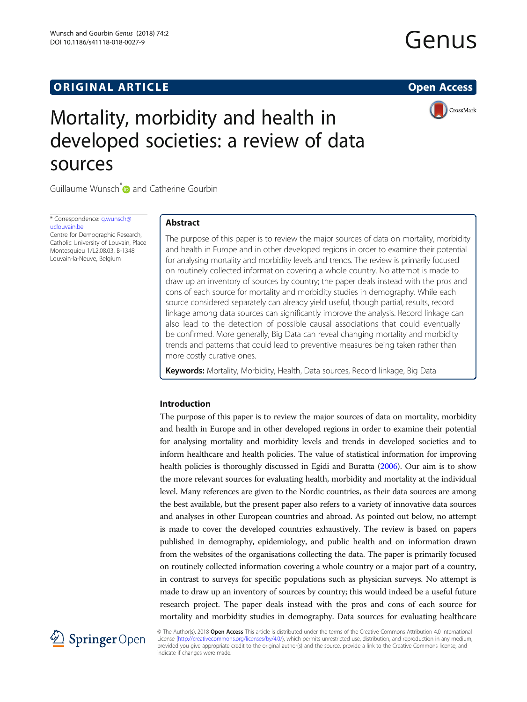### **ORIGINAL ARTICLE CONSUMING A LIGACION** CONSUMING A LIGACION CONSUMING A LIGACION CONSUMING A LIGACION CONSUMING A LIGACION CONSUMING A LIGACION CONSUMING A LIGACION CONSUMING A LIGACION CONSUMING A LIGACION CONSUMING A

# Genus



## Mortality, morbidity and health in developed societies: a review of data sources

Guillaume Wunsch<sup>[\\*](http://orcid.org/0000-0002-2344-5251)</sup> and Catherine Gourbin

\* Correspondence: [g.wunsch@](mailto:g.wunsch@uclouvain.be) [uclouvain.be](mailto:g.wunsch@uclouvain.be) Centre for Demographic Research,

Catholic University of Louvain, Place Montesquieu 1/L2.08.03, B-1348 Louvain-la-Neuve, Belgium

#### Abstract

The purpose of this paper is to review the major sources of data on mortality, morbidity and health in Europe and in other developed regions in order to examine their potential for analysing mortality and morbidity levels and trends. The review is primarily focused on routinely collected information covering a whole country. No attempt is made to draw up an inventory of sources by country; the paper deals instead with the pros and cons of each source for mortality and morbidity studies in demography. While each source considered separately can already yield useful, though partial, results, record linkage among data sources can significantly improve the analysis. Record linkage can also lead to the detection of possible causal associations that could eventually be confirmed. More generally, Big Data can reveal changing mortality and morbidity trends and patterns that could lead to preventive measures being taken rather than more costly curative ones.

Keywords: Mortality, Morbidity, Health, Data sources, Record linkage, Big Data

#### Introduction

The purpose of this paper is to review the major sources of data on mortality, morbidity and health in Europe and in other developed regions in order to examine their potential for analysing mortality and morbidity levels and trends in developed societies and to inform healthcare and health policies. The value of statistical information for improving health policies is thoroughly discussed in Egidi and Buratta [\(2006](#page-24-0)). Our aim is to show the more relevant sources for evaluating health, morbidity and mortality at the individual level. Many references are given to the Nordic countries, as their data sources are among the best available, but the present paper also refers to a variety of innovative data sources and analyses in other European countries and abroad. As pointed out below, no attempt is made to cover the developed countries exhaustively. The review is based on papers published in demography, epidemiology, and public health and on information drawn from the websites of the organisations collecting the data. The paper is primarily focused on routinely collected information covering a whole country or a major part of a country, in contrast to surveys for specific populations such as physician surveys. No attempt is made to draw up an inventory of sources by country; this would indeed be a useful future research project. The paper deals instead with the pros and cons of each source for mortality and morbidity studies in demography. Data sources for evaluating healthcare



© The Author(s). 2018 Open Access This article is distributed under the terms of the Creative Commons Attribution 4.0 International License [\(http://creativecommons.org/licenses/by/4.0/](http://creativecommons.org/licenses/by/4.0/)), which permits unrestricted use, distribution, and reproduction in any medium, provided you give appropriate credit to the original author(s) and the source, provide a link to the Creative Commons license, and indicate if changes were made.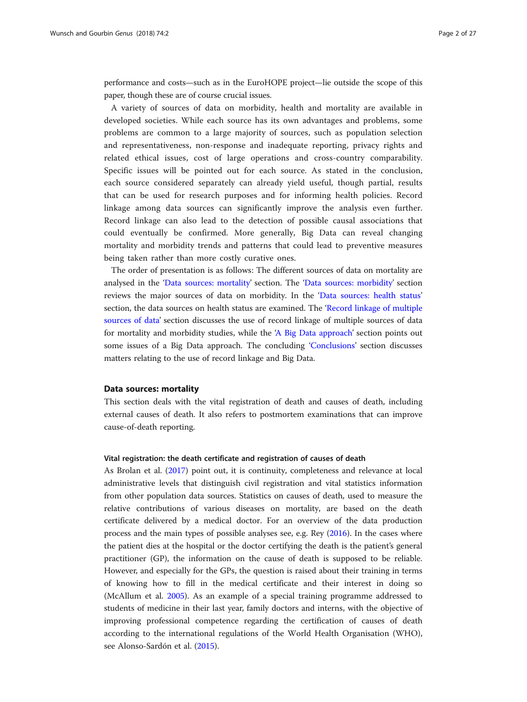performance and costs—such as in the EuroHOPE project—lie outside the scope of this paper, though these are of course crucial issues.

A variety of sources of data on morbidity, health and mortality are available in developed societies. While each source has its own advantages and problems, some problems are common to a large majority of sources, such as population selection and representativeness, non-response and inadequate reporting, privacy rights and related ethical issues, cost of large operations and cross-country comparability. Specific issues will be pointed out for each source. As stated in the conclusion, each source considered separately can already yield useful, though partial, results that can be used for research purposes and for informing health policies. Record linkage among data sources can significantly improve the analysis even further. Record linkage can also lead to the detection of possible causal associations that could eventually be confirmed. More generally, Big Data can reveal changing mortality and morbidity trends and patterns that could lead to preventive measures being taken rather than more costly curative ones.

The order of presentation is as follows: The different sources of data on mortality are analysed in the 'Data sources: mortality' section. The '[Data sources: morbidity](#page-6-0)' section reviews the major sources of data on morbidity. In the '[Data sources: health status](#page-13-0)' section, the data sources on health status are examined. The '[Record linkage of multiple](#page-18-0) [sources of data](#page-18-0)' section discusses the use of record linkage of multiple sources of data for mortality and morbidity studies, while the '[A Big Data approach](#page-19-0)' section points out some issues of a Big Data approach. The concluding '[Conclusions](#page-22-0)' section discusses matters relating to the use of record linkage and Big Data.

#### Data sources: mortality

This section deals with the vital registration of death and causes of death, including external causes of death. It also refers to postmortem examinations that can improve cause-of-death reporting.

#### Vital registration: the death certificate and registration of causes of death

As Brolan et al. [\(2017\)](#page-24-0) point out, it is continuity, completeness and relevance at local administrative levels that distinguish civil registration and vital statistics information from other population data sources. Statistics on causes of death, used to measure the relative contributions of various diseases on mortality, are based on the death certificate delivered by a medical doctor. For an overview of the data production process and the main types of possible analyses see, e.g. Rey ([2016](#page-25-0)). In the cases where the patient dies at the hospital or the doctor certifying the death is the patient's general practitioner (GP), the information on the cause of death is supposed to be reliable. However, and especially for the GPs, the question is raised about their training in terms of knowing how to fill in the medical certificate and their interest in doing so (McAllum et al. [2005\)](#page-25-0). As an example of a special training programme addressed to students of medicine in their last year, family doctors and interns, with the objective of improving professional competence regarding the certification of causes of death according to the international regulations of the World Health Organisation (WHO), see Alonso-Sardón et al. ([2015](#page-24-0)).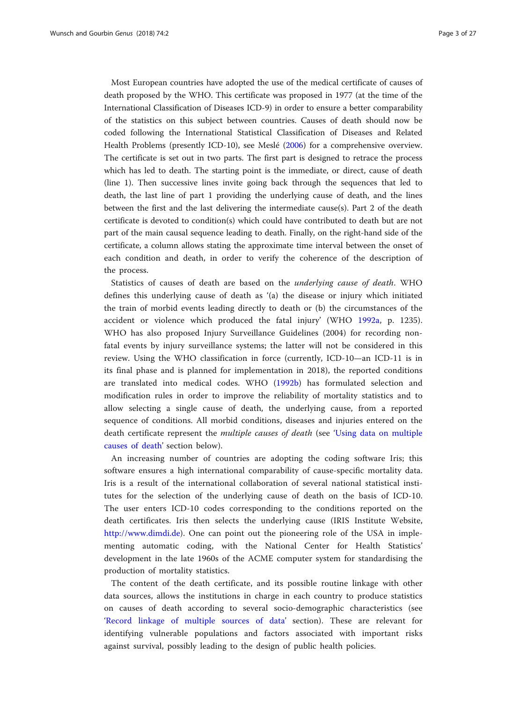Most European countries have adopted the use of the medical certificate of causes of death proposed by the WHO. This certificate was proposed in 1977 (at the time of the International Classification of Diseases ICD-9) in order to ensure a better comparability of the statistics on this subject between countries. Causes of death should now be coded following the International Statistical Classification of Diseases and Related Health Problems (presently ICD-10), see Meslé [\(2006\)](#page-25-0) for a comprehensive overview. The certificate is set out in two parts. The first part is designed to retrace the process which has led to death. The starting point is the immediate, or direct, cause of death (line 1). Then successive lines invite going back through the sequences that led to death, the last line of part 1 providing the underlying cause of death, and the lines between the first and the last delivering the intermediate cause(s). Part 2 of the death certificate is devoted to condition(s) which could have contributed to death but are not part of the main causal sequence leading to death. Finally, on the right-hand side of the certificate, a column allows stating the approximate time interval between the onset of each condition and death, in order to verify the coherence of the description of the process.

Statistics of causes of death are based on the underlying cause of death. WHO defines this underlying cause of death as '(a) the disease or injury which initiated the train of morbid events leading directly to death or (b) the circumstances of the accident or violence which produced the fatal injury' (WHO [1992a](#page-26-0), p. 1235). WHO has also proposed Injury Surveillance Guidelines (2004) for recording nonfatal events by injury surveillance systems; the latter will not be considered in this review. Using the WHO classification in force (currently, ICD-10—an ICD-11 is in its final phase and is planned for implementation in 2018), the reported conditions are translated into medical codes. WHO [\(1992b\)](#page-26-0) has formulated selection and modification rules in order to improve the reliability of mortality statistics and to allow selecting a single cause of death, the underlying cause, from a reported sequence of conditions. All morbid conditions, diseases and injuries entered on the death certificate represent the multiple causes of death (see '[Using data on multiple](#page-3-0) [causes of death](#page-3-0)' section below).

An increasing number of countries are adopting the coding software Iris; this software ensures a high international comparability of cause-specific mortality data. Iris is a result of the international collaboration of several national statistical institutes for the selection of the underlying cause of death on the basis of ICD-10. The user enters ICD-10 codes corresponding to the conditions reported on the death certificates. Iris then selects the underlying cause (IRIS Institute Website, [http://www.dimdi.de\)](http://www.dimdi.de). One can point out the pioneering role of the USA in implementing automatic coding, with the National Center for Health Statistics' development in the late 1960s of the ACME computer system for standardising the production of mortality statistics.

The content of the death certificate, and its possible routine linkage with other data sources, allows the institutions in charge in each country to produce statistics on causes of death according to several socio-demographic characteristics (see '[Record linkage of multiple sources of data](#page-18-0)' section). These are relevant for identifying vulnerable populations and factors associated with important risks against survival, possibly leading to the design of public health policies.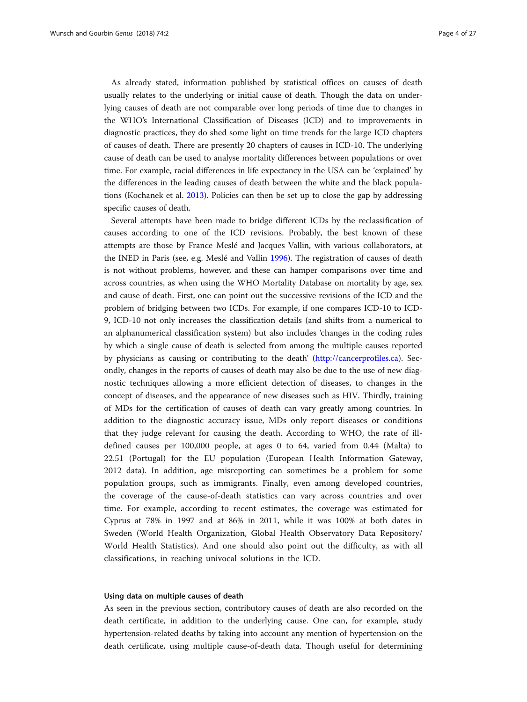<span id="page-3-0"></span>As already stated, information published by statistical offices on causes of death usually relates to the underlying or initial cause of death. Though the data on underlying causes of death are not comparable over long periods of time due to changes in the WHO's International Classification of Diseases (ICD) and to improvements in diagnostic practices, they do shed some light on time trends for the large ICD chapters of causes of death. There are presently 20 chapters of causes in ICD-10. The underlying cause of death can be used to analyse mortality differences between populations or over time. For example, racial differences in life expectancy in the USA can be 'explained' by the differences in the leading causes of death between the white and the black populations (Kochanek et al. [2013\)](#page-25-0). Policies can then be set up to close the gap by addressing specific causes of death.

Several attempts have been made to bridge different ICDs by the reclassification of causes according to one of the ICD revisions. Probably, the best known of these attempts are those by France Meslé and Jacques Vallin, with various collaborators, at the INED in Paris (see, e.g. Meslé and Vallin [1996](#page-25-0)). The registration of causes of death is not without problems, however, and these can hamper comparisons over time and across countries, as when using the WHO Mortality Database on mortality by age, sex and cause of death. First, one can point out the successive revisions of the ICD and the problem of bridging between two ICDs. For example, if one compares ICD-10 to ICD-9, ICD-10 not only increases the classification details (and shifts from a numerical to an alphanumerical classification system) but also includes 'changes in the coding rules by which a single cause of death is selected from among the multiple causes reported by physicians as causing or contributing to the death' [\(http://cancerprofiles.ca](http://cancerprofiles.ca)). Secondly, changes in the reports of causes of death may also be due to the use of new diagnostic techniques allowing a more efficient detection of diseases, to changes in the concept of diseases, and the appearance of new diseases such as HIV. Thirdly, training of MDs for the certification of causes of death can vary greatly among countries. In addition to the diagnostic accuracy issue, MDs only report diseases or conditions that they judge relevant for causing the death. According to WHO, the rate of illdefined causes per 100,000 people, at ages 0 to 64, varied from 0.44 (Malta) to 22.51 (Portugal) for the EU population (European Health Information Gateway, 2012 data). In addition, age misreporting can sometimes be a problem for some population groups, such as immigrants. Finally, even among developed countries, the coverage of the cause-of-death statistics can vary across countries and over time. For example, according to recent estimates, the coverage was estimated for Cyprus at 78% in 1997 and at 86% in 2011, while it was 100% at both dates in Sweden (World Health Organization, Global Health Observatory Data Repository/ World Health Statistics). And one should also point out the difficulty, as with all classifications, in reaching univocal solutions in the ICD.

#### Using data on multiple causes of death

As seen in the previous section, contributory causes of death are also recorded on the death certificate, in addition to the underlying cause. One can, for example, study hypertension-related deaths by taking into account any mention of hypertension on the death certificate, using multiple cause-of-death data. Though useful for determining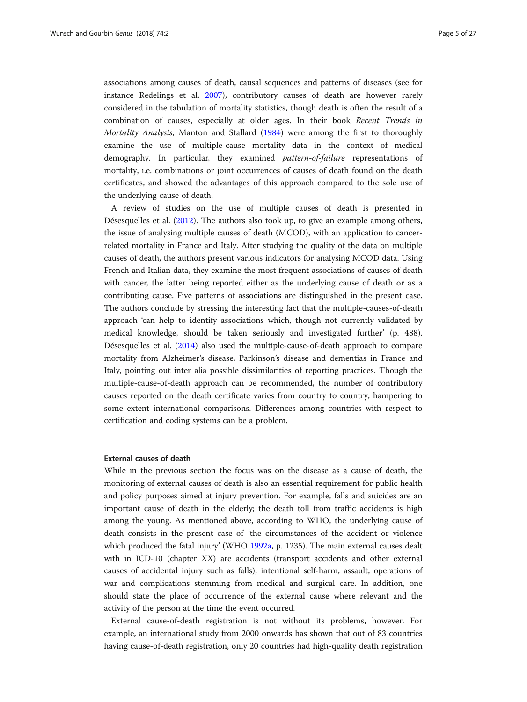associations among causes of death, causal sequences and patterns of diseases (see for instance Redelings et al. [2007](#page-25-0)), contributory causes of death are however rarely considered in the tabulation of mortality statistics, though death is often the result of a combination of causes, especially at older ages. In their book Recent Trends in Mortality Analysis, Manton and Stallard ([1984](#page-25-0)) were among the first to thoroughly examine the use of multiple-cause mortality data in the context of medical demography. In particular, they examined pattern-of-failure representations of mortality, i.e. combinations or joint occurrences of causes of death found on the death certificates, and showed the advantages of this approach compared to the sole use of the underlying cause of death.

A review of studies on the use of multiple causes of death is presented in Désesquelles et al. [\(2012\)](#page-24-0). The authors also took up, to give an example among others, the issue of analysing multiple causes of death (MCOD), with an application to cancerrelated mortality in France and Italy. After studying the quality of the data on multiple causes of death, the authors present various indicators for analysing MCOD data. Using French and Italian data, they examine the most frequent associations of causes of death with cancer, the latter being reported either as the underlying cause of death or as a contributing cause. Five patterns of associations are distinguished in the present case. The authors conclude by stressing the interesting fact that the multiple-causes-of-death approach 'can help to identify associations which, though not currently validated by medical knowledge, should be taken seriously and investigated further' (p. 488). Désesquelles et al. [\(2014\)](#page-24-0) also used the multiple-cause-of-death approach to compare mortality from Alzheimer's disease, Parkinson's disease and dementias in France and Italy, pointing out inter alia possible dissimilarities of reporting practices. Though the multiple-cause-of-death approach can be recommended, the number of contributory causes reported on the death certificate varies from country to country, hampering to some extent international comparisons. Differences among countries with respect to certification and coding systems can be a problem.

#### External causes of death

While in the previous section the focus was on the disease as a cause of death, the monitoring of external causes of death is also an essential requirement for public health and policy purposes aimed at injury prevention. For example, falls and suicides are an important cause of death in the elderly; the death toll from traffic accidents is high among the young. As mentioned above, according to WHO, the underlying cause of death consists in the present case of 'the circumstances of the accident or violence which produced the fatal injury' (WHO [1992a](#page-26-0), p. 1235). The main external causes dealt with in ICD-10 (chapter XX) are accidents (transport accidents and other external causes of accidental injury such as falls), intentional self-harm, assault, operations of war and complications stemming from medical and surgical care. In addition, one should state the place of occurrence of the external cause where relevant and the activity of the person at the time the event occurred.

External cause-of-death registration is not without its problems, however. For example, an international study from 2000 onwards has shown that out of 83 countries having cause-of-death registration, only 20 countries had high-quality death registration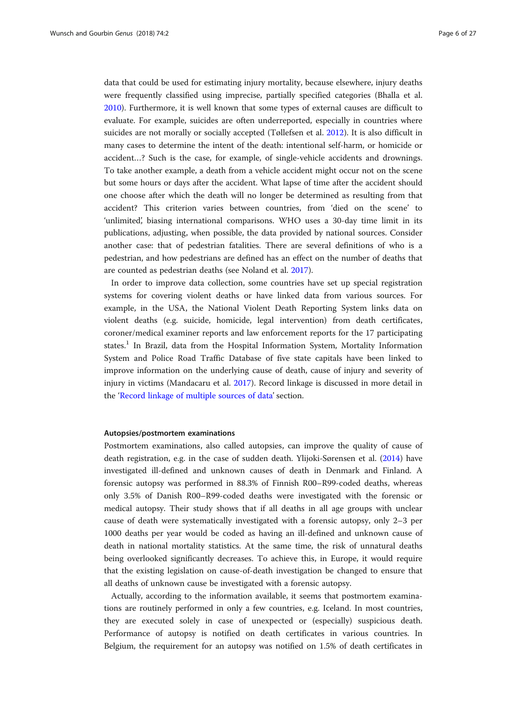data that could be used for estimating injury mortality, because elsewhere, injury deaths were frequently classified using imprecise, partially specified categories (Bhalla et al. [2010](#page-24-0)). Furthermore, it is well known that some types of external causes are difficult to evaluate. For example, suicides are often underreported, especially in countries where suicides are not morally or socially accepted (Tøllefsen et al. [2012\)](#page-26-0). It is also difficult in many cases to determine the intent of the death: intentional self-harm, or homicide or accident…? Such is the case, for example, of single-vehicle accidents and drownings. To take another example, a death from a vehicle accident might occur not on the scene but some hours or days after the accident. What lapse of time after the accident should one choose after which the death will no longer be determined as resulting from that accident? This criterion varies between countries, from 'died on the scene' to 'unlimited', biasing international comparisons. WHO uses a 30-day time limit in its publications, adjusting, when possible, the data provided by national sources. Consider another case: that of pedestrian fatalities. There are several definitions of who is a pedestrian, and how pedestrians are defined has an effect on the number of deaths that are counted as pedestrian deaths (see Noland et al. [2017\)](#page-25-0).

In order to improve data collection, some countries have set up special registration systems for covering violent deaths or have linked data from various sources. For example, in the USA, the National Violent Death Reporting System links data on violent deaths (e.g. suicide, homicide, legal intervention) from death certificates, coroner/medical examiner reports and law enforcement reports for the 17 participating states.<sup>1</sup> In Brazil, data from the Hospital Information System, Mortality Information System and Police Road Traffic Database of five state capitals have been linked to improve information on the underlying cause of death, cause of injury and severity of injury in victims (Mandacaru et al. [2017\)](#page-25-0). Record linkage is discussed in more detail in the '[Record linkage of multiple sources of data](#page-18-0)' section.

#### Autopsies/postmortem examinations

Postmortem examinations, also called autopsies, can improve the quality of cause of death registration, e.g. in the case of sudden death. Ylijoki-Sørensen et al. ([2014](#page-26-0)) have investigated ill-defined and unknown causes of death in Denmark and Finland. A forensic autopsy was performed in 88.3% of Finnish R00–R99-coded deaths, whereas only 3.5% of Danish R00–R99-coded deaths were investigated with the forensic or medical autopsy. Their study shows that if all deaths in all age groups with unclear cause of death were systematically investigated with a forensic autopsy, only 2–3 per 1000 deaths per year would be coded as having an ill-defined and unknown cause of death in national mortality statistics. At the same time, the risk of unnatural deaths being overlooked significantly decreases. To achieve this, in Europe, it would require that the existing legislation on cause-of-death investigation be changed to ensure that all deaths of unknown cause be investigated with a forensic autopsy.

Actually, according to the information available, it seems that postmortem examinations are routinely performed in only a few countries, e.g. Iceland. In most countries, they are executed solely in case of unexpected or (especially) suspicious death. Performance of autopsy is notified on death certificates in various countries. In Belgium, the requirement for an autopsy was notified on 1.5% of death certificates in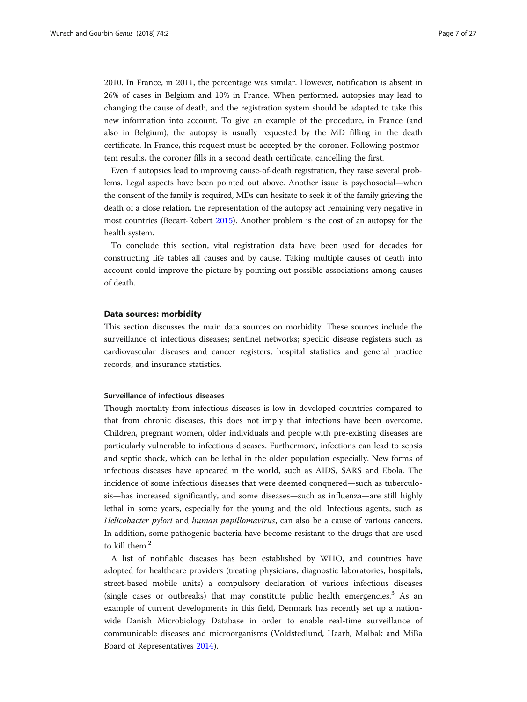<span id="page-6-0"></span>2010. In France, in 2011, the percentage was similar. However, notification is absent in 26% of cases in Belgium and 10% in France. When performed, autopsies may lead to changing the cause of death, and the registration system should be adapted to take this new information into account. To give an example of the procedure, in France (and also in Belgium), the autopsy is usually requested by the MD filling in the death certificate. In France, this request must be accepted by the coroner. Following postmortem results, the coroner fills in a second death certificate, cancelling the first.

Even if autopsies lead to improving cause-of-death registration, they raise several problems. Legal aspects have been pointed out above. Another issue is psychosocial—when the consent of the family is required, MDs can hesitate to seek it of the family grieving the death of a close relation, the representation of the autopsy act remaining very negative in most countries (Becart-Robert [2015](#page-24-0)). Another problem is the cost of an autopsy for the health system.

To conclude this section, vital registration data have been used for decades for constructing life tables all causes and by cause. Taking multiple causes of death into account could improve the picture by pointing out possible associations among causes of death.

#### Data sources: morbidity

This section discusses the main data sources on morbidity. These sources include the surveillance of infectious diseases; sentinel networks; specific disease registers such as cardiovascular diseases and cancer registers, hospital statistics and general practice records, and insurance statistics.

#### Surveillance of infectious diseases

Though mortality from infectious diseases is low in developed countries compared to that from chronic diseases, this does not imply that infections have been overcome. Children, pregnant women, older individuals and people with pre-existing diseases are particularly vulnerable to infectious diseases. Furthermore, infections can lead to sepsis and septic shock, which can be lethal in the older population especially. New forms of infectious diseases have appeared in the world, such as AIDS, SARS and Ebola. The incidence of some infectious diseases that were deemed conquered—such as tuberculosis—has increased significantly, and some diseases—such as influenza—are still highly lethal in some years, especially for the young and the old. Infectious agents, such as Helicobacter pylori and human papillomavirus, can also be a cause of various cancers. In addition, some pathogenic bacteria have become resistant to the drugs that are used to kill them. $<sup>2</sup>$ </sup>

A list of notifiable diseases has been established by WHO, and countries have adopted for healthcare providers (treating physicians, diagnostic laboratories, hospitals, street-based mobile units) a compulsory declaration of various infectious diseases (single cases or outbreaks) that may constitute public health emergencies.<sup>3</sup> As an example of current developments in this field, Denmark has recently set up a nationwide Danish Microbiology Database in order to enable real-time surveillance of communicable diseases and microorganisms (Voldstedlund, Haarh, Mølbak and MiBa Board of Representatives [2014\)](#page-26-0).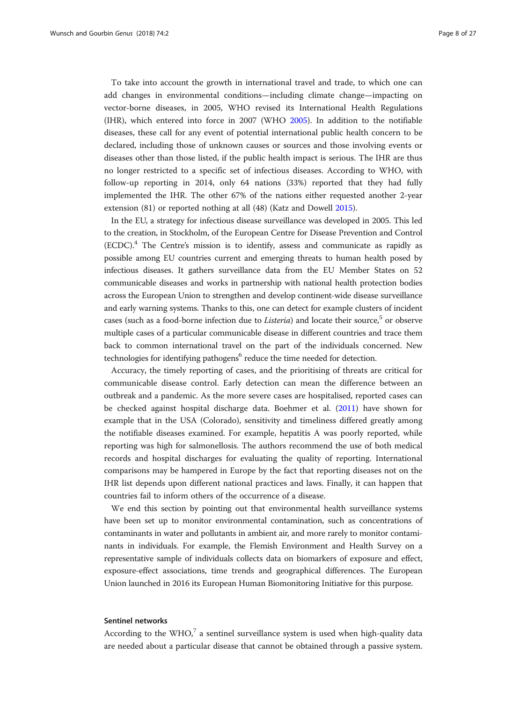<span id="page-7-0"></span>To take into account the growth in international travel and trade, to which one can add changes in environmental conditions—including climate change—impacting on vector-borne diseases, in 2005, WHO revised its International Health Regulations (IHR), which entered into force in 2007 (WHO [2005](#page-26-0)). In addition to the notifiable diseases, these call for any event of potential international public health concern to be declared, including those of unknown causes or sources and those involving events or diseases other than those listed, if the public health impact is serious. The IHR are thus no longer restricted to a specific set of infectious diseases. According to WHO, with follow-up reporting in 2014, only 64 nations (33%) reported that they had fully implemented the IHR. The other 67% of the nations either requested another 2-year extension (81) or reported nothing at all (48) (Katz and Dowell [2015\)](#page-25-0).

In the EU, a strategy for infectious disease surveillance was developed in 2005. This led to the creation, in Stockholm, of the European Centre for Disease Prevention and Control  $(ECDC)^4$ . The Centre's mission is to identify, assess and communicate as rapidly as possible among EU countries current and emerging threats to human health posed by infectious diseases. It gathers surveillance data from the EU Member States on 52 communicable diseases and works in partnership with national health protection bodies across the European Union to strengthen and develop continent-wide disease surveillance and early warning systems. Thanks to this, one can detect for example clusters of incident cases (such as a food-borne infection due to *Listeria*) and locate their source,<sup>5</sup> or observe multiple cases of a particular communicable disease in different countries and trace them back to common international travel on the part of the individuals concerned. New technologies for identifying pathogens<sup>6</sup> reduce the time needed for detection.

Accuracy, the timely reporting of cases, and the prioritising of threats are critical for communicable disease control. Early detection can mean the difference between an outbreak and a pandemic. As the more severe cases are hospitalised, reported cases can be checked against hospital discharge data. Boehmer et al. ([2011](#page-24-0)) have shown for example that in the USA (Colorado), sensitivity and timeliness differed greatly among the notifiable diseases examined. For example, hepatitis A was poorly reported, while reporting was high for salmonellosis. The authors recommend the use of both medical records and hospital discharges for evaluating the quality of reporting. International comparisons may be hampered in Europe by the fact that reporting diseases not on the IHR list depends upon different national practices and laws. Finally, it can happen that countries fail to inform others of the occurrence of a disease.

We end this section by pointing out that environmental health surveillance systems have been set up to monitor environmental contamination, such as concentrations of contaminants in water and pollutants in ambient air, and more rarely to monitor contaminants in individuals. For example, the Flemish Environment and Health Survey on a representative sample of individuals collects data on biomarkers of exposure and effect, exposure-effect associations, time trends and geographical differences. The European Union launched in 2016 its European Human Biomonitoring Initiative for this purpose.

#### Sentinel networks

According to the WHO, $7$  a sentinel surveillance system is used when high-quality data are needed about a particular disease that cannot be obtained through a passive system.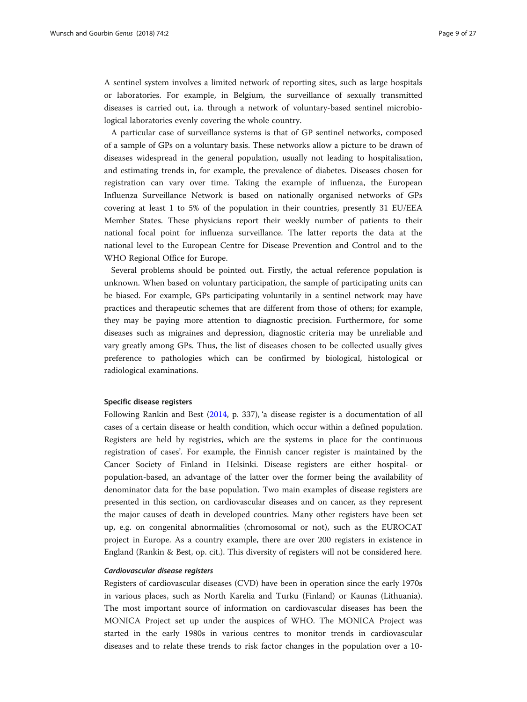A sentinel system involves a limited network of reporting sites, such as large hospitals or laboratories. For example, in Belgium, the surveillance of sexually transmitted diseases is carried out, i.a. through a network of voluntary-based sentinel microbiological laboratories evenly covering the whole country.

A particular case of surveillance systems is that of GP sentinel networks, composed of a sample of GPs on a voluntary basis. These networks allow a picture to be drawn of diseases widespread in the general population, usually not leading to hospitalisation, and estimating trends in, for example, the prevalence of diabetes. Diseases chosen for registration can vary over time. Taking the example of influenza, the European Influenza Surveillance Network is based on nationally organised networks of GPs covering at least 1 to 5% of the population in their countries, presently 31 EU/EEA Member States. These physicians report their weekly number of patients to their national focal point for influenza surveillance. The latter reports the data at the national level to the European Centre for Disease Prevention and Control and to the WHO Regional Office for Europe.

Several problems should be pointed out. Firstly, the actual reference population is unknown. When based on voluntary participation, the sample of participating units can be biased. For example, GPs participating voluntarily in a sentinel network may have practices and therapeutic schemes that are different from those of others; for example, they may be paying more attention to diagnostic precision. Furthermore, for some diseases such as migraines and depression, diagnostic criteria may be unreliable and vary greatly among GPs. Thus, the list of diseases chosen to be collected usually gives preference to pathologies which can be confirmed by biological, histological or radiological examinations.

#### Specific disease registers

Following Rankin and Best ([2014,](#page-25-0) p. 337), 'a disease register is a documentation of all cases of a certain disease or health condition, which occur within a defined population. Registers are held by registries, which are the systems in place for the continuous registration of cases'. For example, the Finnish cancer register is maintained by the Cancer Society of Finland in Helsinki. Disease registers are either hospital- or population-based, an advantage of the latter over the former being the availability of denominator data for the base population. Two main examples of disease registers are presented in this section, on cardiovascular diseases and on cancer, as they represent the major causes of death in developed countries. Many other registers have been set up, e.g. on congenital abnormalities (chromosomal or not), such as the EUROCAT project in Europe. As a country example, there are over 200 registers in existence in England (Rankin & Best, op. cit.). This diversity of registers will not be considered here.

#### Cardiovascular disease registers

Registers of cardiovascular diseases (CVD) have been in operation since the early 1970s in various places, such as North Karelia and Turku (Finland) or Kaunas (Lithuania). The most important source of information on cardiovascular diseases has been the MONICA Project set up under the auspices of WHO. The MONICA Project was started in the early 1980s in various centres to monitor trends in cardiovascular diseases and to relate these trends to risk factor changes in the population over a 10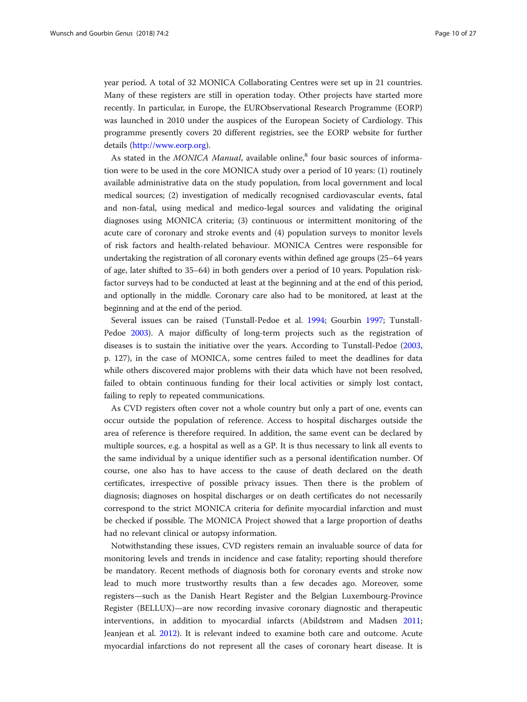year period. A total of 32 MONICA Collaborating Centres were set up in 21 countries. Many of these registers are still in operation today. Other projects have started more recently. In particular, in Europe, the EURObservational Research Programme (EORP) was launched in 2010 under the auspices of the European Society of Cardiology. This programme presently covers 20 different registries, see the EORP website for further details ([http://www.eorp.org\)](http://www.eorp.org).

As stated in the MONICA Manual, available online, $8$  four basic sources of information were to be used in the core MONICA study over a period of 10 years: (1) routinely available administrative data on the study population, from local government and local medical sources; (2) investigation of medically recognised cardiovascular events, fatal and non-fatal, using medical and medico-legal sources and validating the original diagnoses using MONICA criteria; (3) continuous or intermittent monitoring of the acute care of coronary and stroke events and (4) population surveys to monitor levels of risk factors and health-related behaviour. MONICA Centres were responsible for undertaking the registration of all coronary events within defined age groups (25–64 years of age, later shifted to 35–64) in both genders over a period of 10 years. Population riskfactor surveys had to be conducted at least at the beginning and at the end of this period, and optionally in the middle. Coronary care also had to be monitored, at least at the beginning and at the end of the period.

Several issues can be raised (Tunstall-Pedoe et al. [1994](#page-26-0); Gourbin [1997](#page-24-0); Tunstall-Pedoe [2003\)](#page-26-0). A major difficulty of long-term projects such as the registration of diseases is to sustain the initiative over the years. According to Tunstall-Pedoe ([2003](#page-26-0), p. 127), in the case of MONICA, some centres failed to meet the deadlines for data while others discovered major problems with their data which have not been resolved, failed to obtain continuous funding for their local activities or simply lost contact, failing to reply to repeated communications.

As CVD registers often cover not a whole country but only a part of one, events can occur outside the population of reference. Access to hospital discharges outside the area of reference is therefore required. In addition, the same event can be declared by multiple sources, e.g. a hospital as well as a GP. It is thus necessary to link all events to the same individual by a unique identifier such as a personal identification number. Of course, one also has to have access to the cause of death declared on the death certificates, irrespective of possible privacy issues. Then there is the problem of diagnosis; diagnoses on hospital discharges or on death certificates do not necessarily correspond to the strict MONICA criteria for definite myocardial infarction and must be checked if possible. The MONICA Project showed that a large proportion of deaths had no relevant clinical or autopsy information.

Notwithstanding these issues, CVD registers remain an invaluable source of data for monitoring levels and trends in incidence and case fatality; reporting should therefore be mandatory. Recent methods of diagnosis both for coronary events and stroke now lead to much more trustworthy results than a few decades ago. Moreover, some registers—such as the Danish Heart Register and the Belgian Luxembourg-Province Register (BELLUX)—are now recording invasive coronary diagnostic and therapeutic interventions, in addition to myocardial infarcts (Abildstrøm and Madsen [2011](#page-24-0); Jeanjean et al. [2012](#page-25-0)). It is relevant indeed to examine both care and outcome. Acute myocardial infarctions do not represent all the cases of coronary heart disease. It is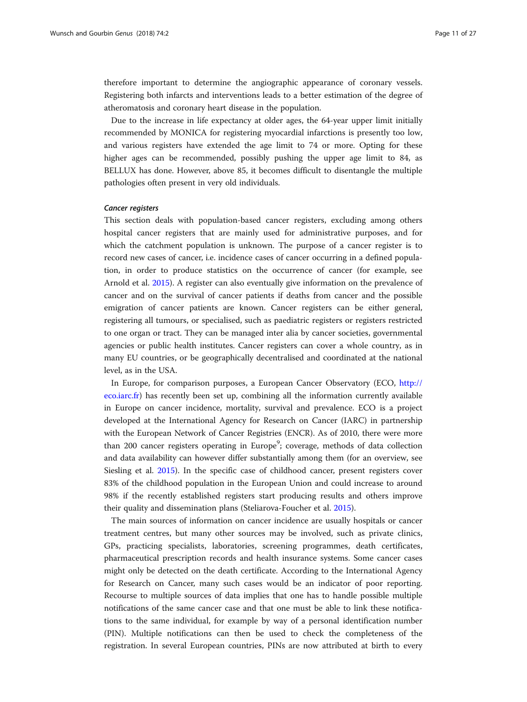therefore important to determine the angiographic appearance of coronary vessels. Registering both infarcts and interventions leads to a better estimation of the degree of atheromatosis and coronary heart disease in the population.

Due to the increase in life expectancy at older ages, the 64-year upper limit initially recommended by MONICA for registering myocardial infarctions is presently too low, and various registers have extended the age limit to 74 or more. Opting for these higher ages can be recommended, possibly pushing the upper age limit to 84, as BELLUX has done. However, above 85, it becomes difficult to disentangle the multiple pathologies often present in very old individuals.

#### Cancer registers

This section deals with population-based cancer registers, excluding among others hospital cancer registers that are mainly used for administrative purposes, and for which the catchment population is unknown. The purpose of a cancer register is to record new cases of cancer, i.e. incidence cases of cancer occurring in a defined population, in order to produce statistics on the occurrence of cancer (for example, see Arnold et al. [2015\)](#page-24-0). A register can also eventually give information on the prevalence of cancer and on the survival of cancer patients if deaths from cancer and the possible emigration of cancer patients are known. Cancer registers can be either general, registering all tumours, or specialised, such as paediatric registers or registers restricted to one organ or tract. They can be managed inter alia by cancer societies, governmental agencies or public health institutes. Cancer registers can cover a whole country, as in many EU countries, or be geographically decentralised and coordinated at the national level, as in the USA.

In Europe, for comparison purposes, a European Cancer Observatory (ECO, [http://](http://eco.iarc.fr) [eco.iarc.fr](http://eco.iarc.fr)) has recently been set up, combining all the information currently available in Europe on cancer incidence, mortality, survival and prevalence. ECO is a project developed at the International Agency for Research on Cancer (IARC) in partnership with the European Network of Cancer Registries (ENCR). As of 2010, there were more than 200 cancer registers operating in Europe<sup>9</sup>; coverage, methods of data collection and data availability can however differ substantially among them (for an overview, see Siesling et al. [2015\)](#page-26-0). In the specific case of childhood cancer, present registers cover 83% of the childhood population in the European Union and could increase to around 98% if the recently established registers start producing results and others improve their quality and dissemination plans (Steliarova-Foucher et al. [2015](#page-26-0)).

The main sources of information on cancer incidence are usually hospitals or cancer treatment centres, but many other sources may be involved, such as private clinics, GPs, practicing specialists, laboratories, screening programmes, death certificates, pharmaceutical prescription records and health insurance systems. Some cancer cases might only be detected on the death certificate. According to the International Agency for Research on Cancer, many such cases would be an indicator of poor reporting. Recourse to multiple sources of data implies that one has to handle possible multiple notifications of the same cancer case and that one must be able to link these notifications to the same individual, for example by way of a personal identification number (PIN). Multiple notifications can then be used to check the completeness of the registration. In several European countries, PINs are now attributed at birth to every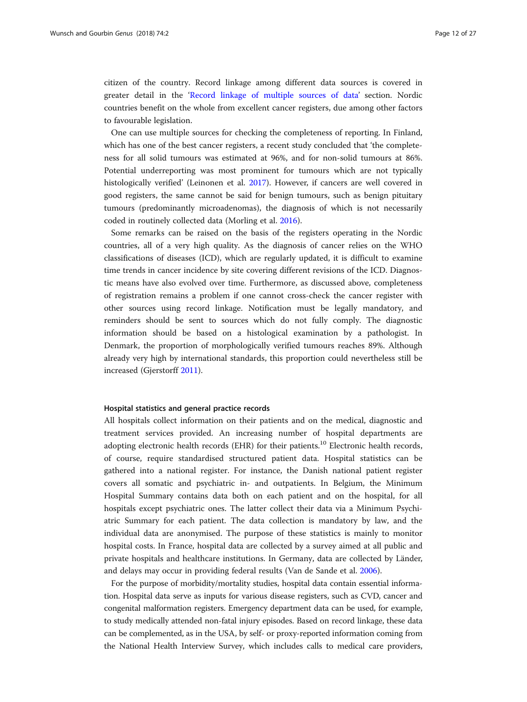citizen of the country. Record linkage among different data sources is covered in greater detail in the '[Record linkage of multiple sources of data](#page-18-0)' section. Nordic countries benefit on the whole from excellent cancer registers, due among other factors to favourable legislation.

One can use multiple sources for checking the completeness of reporting. In Finland, which has one of the best cancer registers, a recent study concluded that 'the completeness for all solid tumours was estimated at 96%, and for non-solid tumours at 86%. Potential underreporting was most prominent for tumours which are not typically histologically verified' (Leinonen et al. [2017](#page-25-0)). However, if cancers are well covered in good registers, the same cannot be said for benign tumours, such as benign pituitary tumours (predominantly microadenomas), the diagnosis of which is not necessarily coded in routinely collected data (Morling et al. [2016](#page-25-0)).

Some remarks can be raised on the basis of the registers operating in the Nordic countries, all of a very high quality. As the diagnosis of cancer relies on the WHO classifications of diseases (ICD), which are regularly updated, it is difficult to examine time trends in cancer incidence by site covering different revisions of the ICD. Diagnostic means have also evolved over time. Furthermore, as discussed above, completeness of registration remains a problem if one cannot cross-check the cancer register with other sources using record linkage. Notification must be legally mandatory, and reminders should be sent to sources which do not fully comply. The diagnostic information should be based on a histological examination by a pathologist. In Denmark, the proportion of morphologically verified tumours reaches 89%. Although already very high by international standards, this proportion could nevertheless still be increased (Gjerstorff [2011\)](#page-24-0).

#### Hospital statistics and general practice records

All hospitals collect information on their patients and on the medical, diagnostic and treatment services provided. An increasing number of hospital departments are adopting electronic health records (EHR) for their patients.<sup>10</sup> Electronic health records, of course, require standardised structured patient data. Hospital statistics can be gathered into a national register. For instance, the Danish national patient register covers all somatic and psychiatric in- and outpatients. In Belgium, the Minimum Hospital Summary contains data both on each patient and on the hospital, for all hospitals except psychiatric ones. The latter collect their data via a Minimum Psychiatric Summary for each patient. The data collection is mandatory by law, and the individual data are anonymised. The purpose of these statistics is mainly to monitor hospital costs. In France, hospital data are collected by a survey aimed at all public and private hospitals and healthcare institutions. In Germany, data are collected by Länder, and delays may occur in providing federal results (Van de Sande et al. [2006\)](#page-26-0).

For the purpose of morbidity/mortality studies, hospital data contain essential information. Hospital data serve as inputs for various disease registers, such as CVD, cancer and congenital malformation registers. Emergency department data can be used, for example, to study medically attended non-fatal injury episodes. Based on record linkage, these data can be complemented, as in the USA, by self- or proxy-reported information coming from the National Health Interview Survey, which includes calls to medical care providers,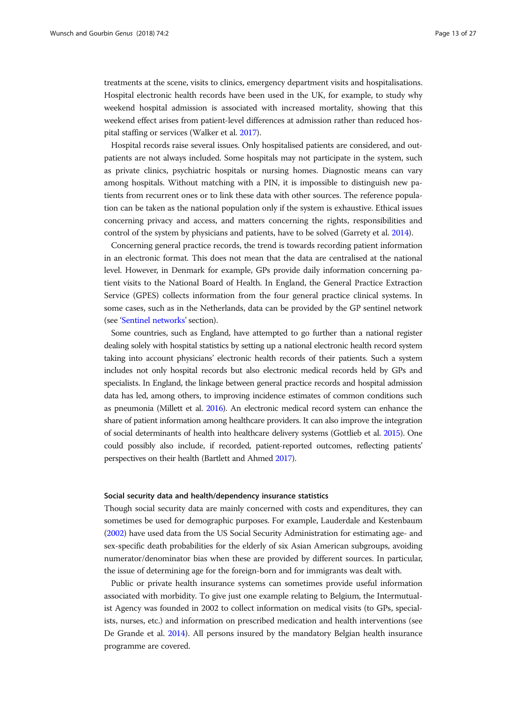treatments at the scene, visits to clinics, emergency department visits and hospitalisations. Hospital electronic health records have been used in the UK, for example, to study why weekend hospital admission is associated with increased mortality, showing that this weekend effect arises from patient-level differences at admission rather than reduced hospital staffing or services (Walker et al. [2017](#page-26-0)).

Hospital records raise several issues. Only hospitalised patients are considered, and outpatients are not always included. Some hospitals may not participate in the system, such as private clinics, psychiatric hospitals or nursing homes. Diagnostic means can vary among hospitals. Without matching with a PIN, it is impossible to distinguish new patients from recurrent ones or to link these data with other sources. The reference population can be taken as the national population only if the system is exhaustive. Ethical issues concerning privacy and access, and matters concerning the rights, responsibilities and control of the system by physicians and patients, have to be solved (Garrety et al. [2014](#page-24-0)).

Concerning general practice records, the trend is towards recording patient information in an electronic format. This does not mean that the data are centralised at the national level. However, in Denmark for example, GPs provide daily information concerning patient visits to the National Board of Health. In England, the General Practice Extraction Service (GPES) collects information from the four general practice clinical systems. In some cases, such as in the Netherlands, data can be provided by the GP sentinel network (see '[Sentinel networks](#page-7-0)' section).

Some countries, such as England, have attempted to go further than a national register dealing solely with hospital statistics by setting up a national electronic health record system taking into account physicians' electronic health records of their patients. Such a system includes not only hospital records but also electronic medical records held by GPs and specialists. In England, the linkage between general practice records and hospital admission data has led, among others, to improving incidence estimates of common conditions such as pneumonia (Millett et al. [2016\)](#page-25-0). An electronic medical record system can enhance the share of patient information among healthcare providers. It can also improve the integration of social determinants of health into healthcare delivery systems (Gottlieb et al. [2015\)](#page-24-0). One could possibly also include, if recorded, patient-reported outcomes, reflecting patients' perspectives on their health (Bartlett and Ahmed [2017](#page-24-0)).

#### Social security data and health/dependency insurance statistics

Though social security data are mainly concerned with costs and expenditures, they can sometimes be used for demographic purposes. For example, Lauderdale and Kestenbaum ([2002\)](#page-25-0) have used data from the US Social Security Administration for estimating age- and sex-specific death probabilities for the elderly of six Asian American subgroups, avoiding numerator/denominator bias when these are provided by different sources. In particular, the issue of determining age for the foreign-born and for immigrants was dealt with.

Public or private health insurance systems can sometimes provide useful information associated with morbidity. To give just one example relating to Belgium, the Intermutualist Agency was founded in 2002 to collect information on medical visits (to GPs, specialists, nurses, etc.) and information on prescribed medication and health interventions (see De Grande et al. [2014](#page-24-0)). All persons insured by the mandatory Belgian health insurance programme are covered.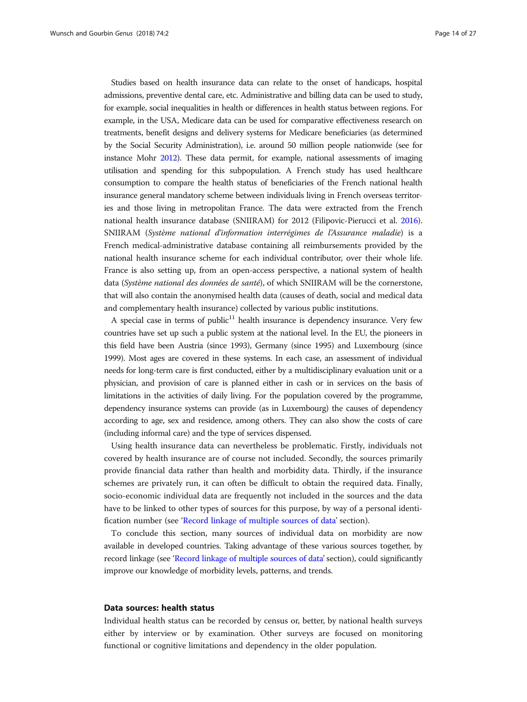<span id="page-13-0"></span>Studies based on health insurance data can relate to the onset of handicaps, hospital admissions, preventive dental care, etc. Administrative and billing data can be used to study, for example, social inequalities in health or differences in health status between regions. For example, in the USA, Medicare data can be used for comparative effectiveness research on treatments, benefit designs and delivery systems for Medicare beneficiaries (as determined by the Social Security Administration), i.e. around 50 million people nationwide (see for instance Mohr [2012](#page-25-0)). These data permit, for example, national assessments of imaging utilisation and spending for this subpopulation. A French study has used healthcare consumption to compare the health status of beneficiaries of the French national health insurance general mandatory scheme between individuals living in French overseas territories and those living in metropolitan France. The data were extracted from the French national health insurance database (SNIIRAM) for 2012 (Filipovic-Pierucci et al. [2016](#page-24-0)). SNIIRAM (Système national d'information interrégimes de l'Assurance maladie) is a French medical-administrative database containing all reimbursements provided by the national health insurance scheme for each individual contributor, over their whole life. France is also setting up, from an open-access perspective, a national system of health data (Système national des données de santé), of which SNIIRAM will be the cornerstone, that will also contain the anonymised health data (causes of death, social and medical data and complementary health insurance) collected by various public institutions.

A special case in terms of public<sup>11</sup> health insurance is dependency insurance. Very few countries have set up such a public system at the national level. In the EU, the pioneers in this field have been Austria (since 1993), Germany (since 1995) and Luxembourg (since 1999). Most ages are covered in these systems. In each case, an assessment of individual needs for long-term care is first conducted, either by a multidisciplinary evaluation unit or a physician, and provision of care is planned either in cash or in services on the basis of limitations in the activities of daily living. For the population covered by the programme, dependency insurance systems can provide (as in Luxembourg) the causes of dependency according to age, sex and residence, among others. They can also show the costs of care (including informal care) and the type of services dispensed.

Using health insurance data can nevertheless be problematic. Firstly, individuals not covered by health insurance are of course not included. Secondly, the sources primarily provide financial data rather than health and morbidity data. Thirdly, if the insurance schemes are privately run, it can often be difficult to obtain the required data. Finally, socio-economic individual data are frequently not included in the sources and the data have to be linked to other types of sources for this purpose, by way of a personal identification number (see '[Record linkage of multiple sources of data](#page-18-0)' section).

To conclude this section, many sources of individual data on morbidity are now available in developed countries. Taking advantage of these various sources together, by record linkage (see '[Record linkage of multiple sources of data](#page-18-0)' section), could significantly improve our knowledge of morbidity levels, patterns, and trends.

#### Data sources: health status

Individual health status can be recorded by census or, better, by national health surveys either by interview or by examination. Other surveys are focused on monitoring functional or cognitive limitations and dependency in the older population.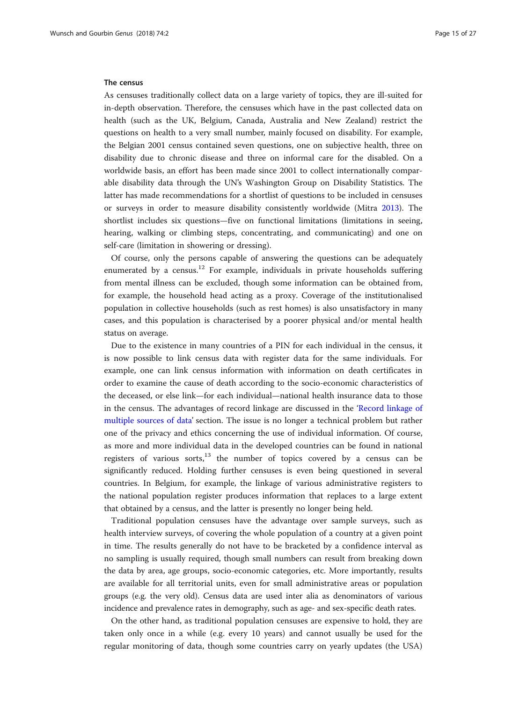#### The census

As censuses traditionally collect data on a large variety of topics, they are ill-suited for in-depth observation. Therefore, the censuses which have in the past collected data on health (such as the UK, Belgium, Canada, Australia and New Zealand) restrict the questions on health to a very small number, mainly focused on disability. For example, the Belgian 2001 census contained seven questions, one on subjective health, three on disability due to chronic disease and three on informal care for the disabled. On a worldwide basis, an effort has been made since 2001 to collect internationally comparable disability data through the UN's Washington Group on Disability Statistics. The latter has made recommendations for a shortlist of questions to be included in censuses or surveys in order to measure disability consistently worldwide (Mitra [2013](#page-25-0)). The shortlist includes six questions—five on functional limitations (limitations in seeing, hearing, walking or climbing steps, concentrating, and communicating) and one on self-care (limitation in showering or dressing).

Of course, only the persons capable of answering the questions can be adequately enumerated by a census.<sup>12</sup> For example, individuals in private households suffering from mental illness can be excluded, though some information can be obtained from, for example, the household head acting as a proxy. Coverage of the institutionalised population in collective households (such as rest homes) is also unsatisfactory in many cases, and this population is characterised by a poorer physical and/or mental health status on average.

Due to the existence in many countries of a PIN for each individual in the census, it is now possible to link census data with register data for the same individuals. For example, one can link census information with information on death certificates in order to examine the cause of death according to the socio-economic characteristics of the deceased, or else link—for each individual—national health insurance data to those in the census. The advantages of record linkage are discussed in the '[Record linkage of](#page-18-0) [multiple sources of data](#page-18-0)' section. The issue is no longer a technical problem but rather one of the privacy and ethics concerning the use of individual information. Of course, as more and more individual data in the developed countries can be found in national registers of various sorts, $13$  the number of topics covered by a census can be significantly reduced. Holding further censuses is even being questioned in several countries. In Belgium, for example, the linkage of various administrative registers to the national population register produces information that replaces to a large extent that obtained by a census, and the latter is presently no longer being held.

Traditional population censuses have the advantage over sample surveys, such as health interview surveys, of covering the whole population of a country at a given point in time. The results generally do not have to be bracketed by a confidence interval as no sampling is usually required, though small numbers can result from breaking down the data by area, age groups, socio-economic categories, etc. More importantly, results are available for all territorial units, even for small administrative areas or population groups (e.g. the very old). Census data are used inter alia as denominators of various incidence and prevalence rates in demography, such as age- and sex-specific death rates.

On the other hand, as traditional population censuses are expensive to hold, they are taken only once in a while (e.g. every 10 years) and cannot usually be used for the regular monitoring of data, though some countries carry on yearly updates (the USA)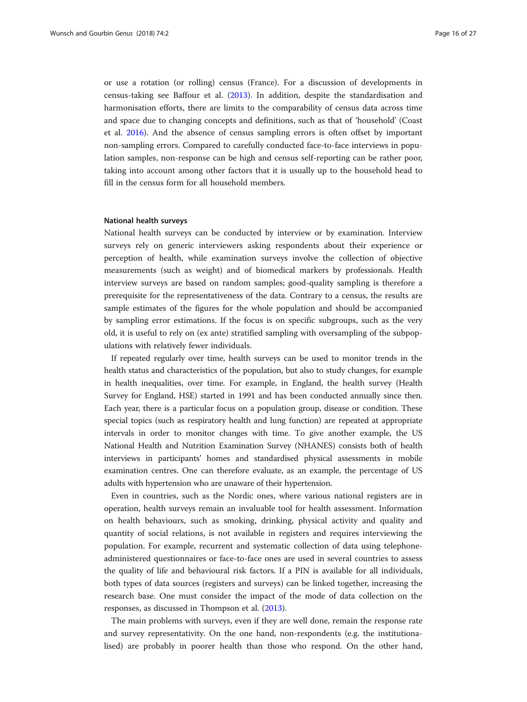<span id="page-15-0"></span>or use a rotation (or rolling) census (France). For a discussion of developments in census-taking see Baffour et al. [\(2013\)](#page-24-0). In addition, despite the standardisation and harmonisation efforts, there are limits to the comparability of census data across time and space due to changing concepts and definitions, such as that of 'household' (Coast et al. [2016](#page-24-0)). And the absence of census sampling errors is often offset by important non-sampling errors. Compared to carefully conducted face-to-face interviews in population samples, non-response can be high and census self-reporting can be rather poor, taking into account among other factors that it is usually up to the household head to fill in the census form for all household members.

#### National health surveys

National health surveys can be conducted by interview or by examination. Interview surveys rely on generic interviewers asking respondents about their experience or perception of health, while examination surveys involve the collection of objective measurements (such as weight) and of biomedical markers by professionals. Health interview surveys are based on random samples; good-quality sampling is therefore a prerequisite for the representativeness of the data. Contrary to a census, the results are sample estimates of the figures for the whole population and should be accompanied by sampling error estimations. If the focus is on specific subgroups, such as the very old, it is useful to rely on (ex ante) stratified sampling with oversampling of the subpopulations with relatively fewer individuals.

If repeated regularly over time, health surveys can be used to monitor trends in the health status and characteristics of the population, but also to study changes, for example in health inequalities, over time. For example, in England, the health survey (Health Survey for England, HSE) started in 1991 and has been conducted annually since then. Each year, there is a particular focus on a population group, disease or condition. These special topics (such as respiratory health and lung function) are repeated at appropriate intervals in order to monitor changes with time. To give another example, the US National Health and Nutrition Examination Survey (NHANES) consists both of health interviews in participants' homes and standardised physical assessments in mobile examination centres. One can therefore evaluate, as an example, the percentage of US adults with hypertension who are unaware of their hypertension.

Even in countries, such as the Nordic ones, where various national registers are in operation, health surveys remain an invaluable tool for health assessment. Information on health behaviours, such as smoking, drinking, physical activity and quality and quantity of social relations, is not available in registers and requires interviewing the population. For example, recurrent and systematic collection of data using telephoneadministered questionnaires or face-to-face ones are used in several countries to assess the quality of life and behavioural risk factors. If a PIN is available for all individuals, both types of data sources (registers and surveys) can be linked together, increasing the research base. One must consider the impact of the mode of data collection on the responses, as discussed in Thompson et al. [\(2013\)](#page-26-0).

The main problems with surveys, even if they are well done, remain the response rate and survey representativity. On the one hand, non-respondents (e.g. the institutionalised) are probably in poorer health than those who respond. On the other hand,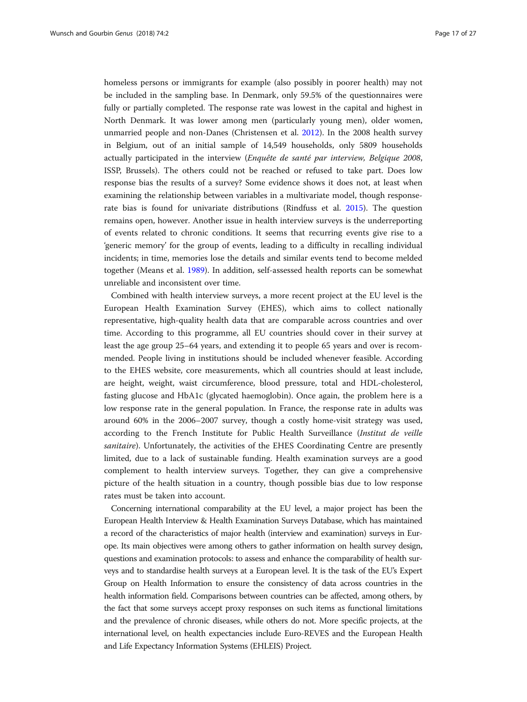homeless persons or immigrants for example (also possibly in poorer health) may not be included in the sampling base. In Denmark, only 59.5% of the questionnaires were fully or partially completed. The response rate was lowest in the capital and highest in North Denmark. It was lower among men (particularly young men), older women, unmarried people and non-Danes (Christensen et al. [2012](#page-24-0)). In the 2008 health survey in Belgium, out of an initial sample of 14,549 households, only 5809 households actually participated in the interview (Enquête de santé par interview, Belgique 2008, ISSP, Brussels). The others could not be reached or refused to take part. Does low response bias the results of a survey? Some evidence shows it does not, at least when examining the relationship between variables in a multivariate model, though responserate bias is found for univariate distributions (Rindfuss et al. [2015\)](#page-26-0). The question remains open, however. Another issue in health interview surveys is the underreporting of events related to chronic conditions. It seems that recurring events give rise to a 'generic memory' for the group of events, leading to a difficulty in recalling individual incidents; in time, memories lose the details and similar events tend to become melded together (Means et al. [1989](#page-25-0)). In addition, self-assessed health reports can be somewhat unreliable and inconsistent over time.

Combined with health interview surveys, a more recent project at the EU level is the European Health Examination Survey (EHES), which aims to collect nationally representative, high-quality health data that are comparable across countries and over time. According to this programme, all EU countries should cover in their survey at least the age group 25–64 years, and extending it to people 65 years and over is recommended. People living in institutions should be included whenever feasible. According to the EHES website, core measurements, which all countries should at least include, are height, weight, waist circumference, blood pressure, total and HDL-cholesterol, fasting glucose and HbA1c (glycated haemoglobin). Once again, the problem here is a low response rate in the general population. In France, the response rate in adults was around 60% in the 2006–2007 survey, though a costly home-visit strategy was used, according to the French Institute for Public Health Surveillance (Institut de veille sanitaire). Unfortunately, the activities of the EHES Coordinating Centre are presently limited, due to a lack of sustainable funding. Health examination surveys are a good complement to health interview surveys. Together, they can give a comprehensive picture of the health situation in a country, though possible bias due to low response rates must be taken into account.

Concerning international comparability at the EU level, a major project has been the European Health Interview & Health Examination Surveys Database, which has maintained a record of the characteristics of major health (interview and examination) surveys in Europe. Its main objectives were among others to gather information on health survey design, questions and examination protocols: to assess and enhance the comparability of health surveys and to standardise health surveys at a European level. It is the task of the EU's Expert Group on Health Information to ensure the consistency of data across countries in the health information field. Comparisons between countries can be affected, among others, by the fact that some surveys accept proxy responses on such items as functional limitations and the prevalence of chronic diseases, while others do not. More specific projects, at the international level, on health expectancies include Euro-REVES and the European Health and Life Expectancy Information Systems (EHLEIS) Project.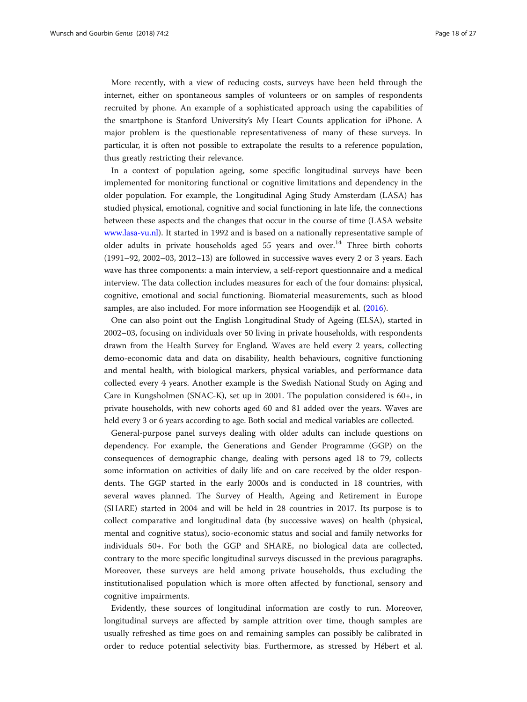More recently, with a view of reducing costs, surveys have been held through the internet, either on spontaneous samples of volunteers or on samples of respondents recruited by phone. An example of a sophisticated approach using the capabilities of the smartphone is Stanford University's My Heart Counts application for iPhone. A major problem is the questionable representativeness of many of these surveys. In particular, it is often not possible to extrapolate the results to a reference population, thus greatly restricting their relevance.

In a context of population ageing, some specific longitudinal surveys have been implemented for monitoring functional or cognitive limitations and dependency in the older population. For example, the Longitudinal Aging Study Amsterdam (LASA) has studied physical, emotional, cognitive and social functioning in late life, the connections between these aspects and the changes that occur in the course of time (LASA website [www.lasa-vu.nl](http://www.lasa-vu.nl)). It started in 1992 and is based on a nationally representative sample of older adults in private households aged 55 years and over.<sup>14</sup> Three birth cohorts (1991–92, 2002–03, 2012–13) are followed in successive waves every 2 or 3 years. Each wave has three components: a main interview, a self-report questionnaire and a medical interview. The data collection includes measures for each of the four domains: physical, cognitive, emotional and social functioning. Biomaterial measurements, such as blood samples, are also included. For more information see Hoogendijk et al. ([2016](#page-25-0)).

One can also point out the English Longitudinal Study of Ageing (ELSA), started in 2002–03, focusing on individuals over 50 living in private households, with respondents drawn from the Health Survey for England. Waves are held every 2 years, collecting demo-economic data and data on disability, health behaviours, cognitive functioning and mental health, with biological markers, physical variables, and performance data collected every 4 years. Another example is the Swedish National Study on Aging and Care in Kungsholmen (SNAC-K), set up in 2001. The population considered is 60+, in private households, with new cohorts aged 60 and 81 added over the years. Waves are held every 3 or 6 years according to age. Both social and medical variables are collected.

General-purpose panel surveys dealing with older adults can include questions on dependency. For example, the Generations and Gender Programme (GGP) on the consequences of demographic change, dealing with persons aged 18 to 79, collects some information on activities of daily life and on care received by the older respondents. The GGP started in the early 2000s and is conducted in 18 countries, with several waves planned. The Survey of Health, Ageing and Retirement in Europe (SHARE) started in 2004 and will be held in 28 countries in 2017. Its purpose is to collect comparative and longitudinal data (by successive waves) on health (physical, mental and cognitive status), socio-economic status and social and family networks for individuals 50+. For both the GGP and SHARE, no biological data are collected, contrary to the more specific longitudinal surveys discussed in the previous paragraphs. Moreover, these surveys are held among private households, thus excluding the institutionalised population which is more often affected by functional, sensory and cognitive impairments.

Evidently, these sources of longitudinal information are costly to run. Moreover, longitudinal surveys are affected by sample attrition over time, though samples are usually refreshed as time goes on and remaining samples can possibly be calibrated in order to reduce potential selectivity bias. Furthermore, as stressed by Hébert et al.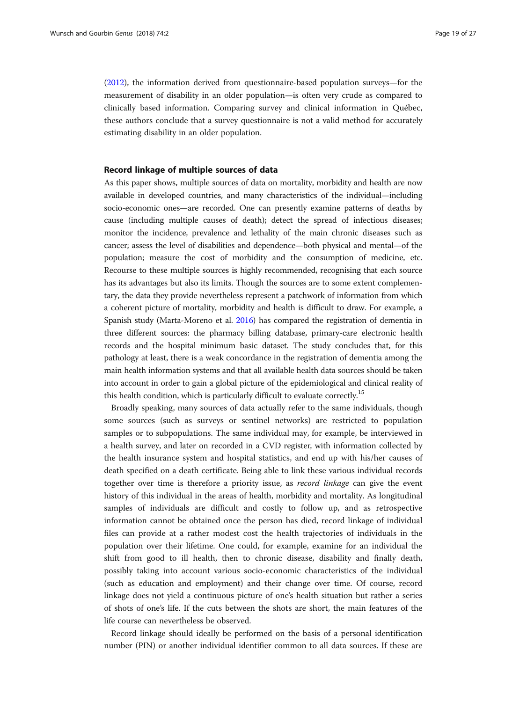<span id="page-18-0"></span>([2012](#page-24-0)), the information derived from questionnaire-based population surveys—for the measurement of disability in an older population—is often very crude as compared to clinically based information. Comparing survey and clinical information in Québec, these authors conclude that a survey questionnaire is not a valid method for accurately estimating disability in an older population.

#### Record linkage of multiple sources of data

As this paper shows, multiple sources of data on mortality, morbidity and health are now available in developed countries, and many characteristics of the individual—including socio-economic ones—are recorded. One can presently examine patterns of deaths by cause (including multiple causes of death); detect the spread of infectious diseases; monitor the incidence, prevalence and lethality of the main chronic diseases such as cancer; assess the level of disabilities and dependence—both physical and mental—of the population; measure the cost of morbidity and the consumption of medicine, etc. Recourse to these multiple sources is highly recommended, recognising that each source has its advantages but also its limits. Though the sources are to some extent complementary, the data they provide nevertheless represent a patchwork of information from which a coherent picture of mortality, morbidity and health is difficult to draw. For example, a Spanish study (Marta-Moreno et al. [2016](#page-25-0)) has compared the registration of dementia in three different sources: the pharmacy billing database, primary-care electronic health records and the hospital minimum basic dataset. The study concludes that, for this pathology at least, there is a weak concordance in the registration of dementia among the main health information systems and that all available health data sources should be taken into account in order to gain a global picture of the epidemiological and clinical reality of this health condition, which is particularly difficult to evaluate correctly.<sup>15</sup>

Broadly speaking, many sources of data actually refer to the same individuals, though some sources (such as surveys or sentinel networks) are restricted to population samples or to subpopulations. The same individual may, for example, be interviewed in a health survey, and later on recorded in a CVD register, with information collected by the health insurance system and hospital statistics, and end up with his/her causes of death specified on a death certificate. Being able to link these various individual records together over time is therefore a priority issue, as record linkage can give the event history of this individual in the areas of health, morbidity and mortality. As longitudinal samples of individuals are difficult and costly to follow up, and as retrospective information cannot be obtained once the person has died, record linkage of individual files can provide at a rather modest cost the health trajectories of individuals in the population over their lifetime. One could, for example, examine for an individual the shift from good to ill health, then to chronic disease, disability and finally death, possibly taking into account various socio-economic characteristics of the individual (such as education and employment) and their change over time. Of course, record linkage does not yield a continuous picture of one's health situation but rather a series of shots of one's life. If the cuts between the shots are short, the main features of the life course can nevertheless be observed.

Record linkage should ideally be performed on the basis of a personal identification number (PIN) or another individual identifier common to all data sources. If these are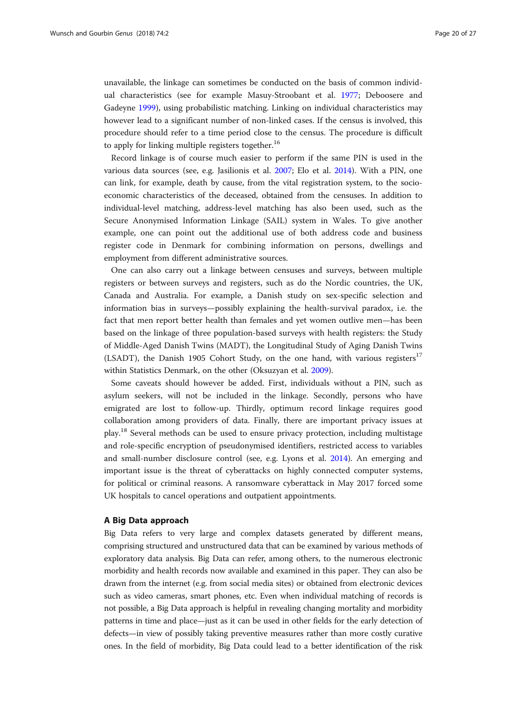<span id="page-19-0"></span>unavailable, the linkage can sometimes be conducted on the basis of common individual characteristics (see for example Masuy-Stroobant et al. [1977](#page-25-0); Deboosere and Gadeyne [1999](#page-24-0)), using probabilistic matching. Linking on individual characteristics may however lead to a significant number of non-linked cases. If the census is involved, this procedure should refer to a time period close to the census. The procedure is difficult to apply for linking multiple registers together.<sup>16</sup>

Record linkage is of course much easier to perform if the same PIN is used in the various data sources (see, e.g. Jasilionis et al. [2007](#page-25-0); Elo et al. [2014\)](#page-24-0). With a PIN, one can link, for example, death by cause, from the vital registration system, to the socioeconomic characteristics of the deceased, obtained from the censuses. In addition to individual-level matching, address-level matching has also been used, such as the Secure Anonymised Information Linkage (SAIL) system in Wales. To give another example, one can point out the additional use of both address code and business register code in Denmark for combining information on persons, dwellings and employment from different administrative sources.

One can also carry out a linkage between censuses and surveys, between multiple registers or between surveys and registers, such as do the Nordic countries, the UK, Canada and Australia. For example, a Danish study on sex-specific selection and information bias in surveys—possibly explaining the health-survival paradox, i.e. the fact that men report better health than females and yet women outlive men—has been based on the linkage of three population-based surveys with health registers: the Study of Middle-Aged Danish Twins (MADT), the Longitudinal Study of Aging Danish Twins (LSADT), the Danish 1905 Cohort Study, on the one hand, with various registers<sup>17</sup> within Statistics Denmark, on the other (Oksuzyan et al. [2009](#page-25-0)).

Some caveats should however be added. First, individuals without a PIN, such as asylum seekers, will not be included in the linkage. Secondly, persons who have emigrated are lost to follow-up. Thirdly, optimum record linkage requires good collaboration among providers of data. Finally, there are important privacy issues at play.<sup>18</sup> Several methods can be used to ensure privacy protection, including multistage and role-specific encryption of pseudonymised identifiers, restricted access to variables and small-number disclosure control (see, e.g. Lyons et al. [2014](#page-25-0)). An emerging and important issue is the threat of cyberattacks on highly connected computer systems, for political or criminal reasons. A ransomware cyberattack in May 2017 forced some UK hospitals to cancel operations and outpatient appointments.

#### A Big Data approach

Big Data refers to very large and complex datasets generated by different means, comprising structured and unstructured data that can be examined by various methods of exploratory data analysis. Big Data can refer, among others, to the numerous electronic morbidity and health records now available and examined in this paper. They can also be drawn from the internet (e.g. from social media sites) or obtained from electronic devices such as video cameras, smart phones, etc. Even when individual matching of records is not possible, a Big Data approach is helpful in revealing changing mortality and morbidity patterns in time and place—just as it can be used in other fields for the early detection of defects—in view of possibly taking preventive measures rather than more costly curative ones. In the field of morbidity, Big Data could lead to a better identification of the risk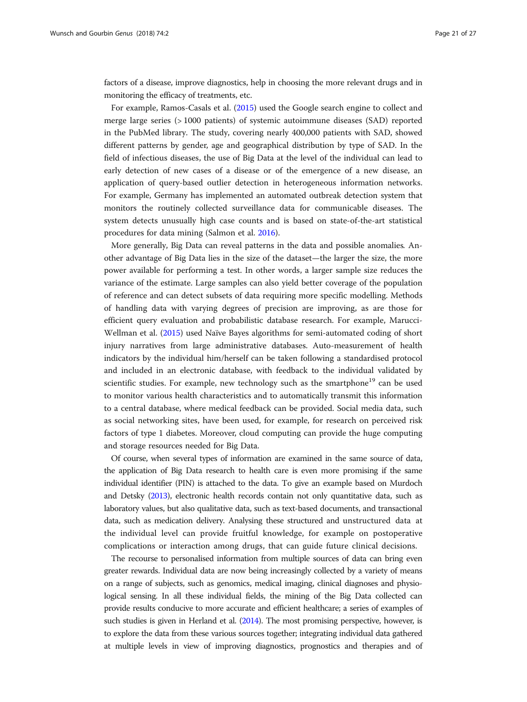factors of a disease, improve diagnostics, help in choosing the more relevant drugs and in monitoring the efficacy of treatments, etc.

For example, Ramos-Casals et al. [\(2015\)](#page-25-0) used the Google search engine to collect and merge large series (> 1000 patients) of systemic autoimmune diseases (SAD) reported in the PubMed library. The study, covering nearly 400,000 patients with SAD, showed different patterns by gender, age and geographical distribution by type of SAD. In the field of infectious diseases, the use of Big Data at the level of the individual can lead to early detection of new cases of a disease or of the emergence of a new disease, an application of query-based outlier detection in heterogeneous information networks. For example, Germany has implemented an automated outbreak detection system that monitors the routinely collected surveillance data for communicable diseases. The system detects unusually high case counts and is based on state-of-the-art statistical procedures for data mining (Salmon et al. [2016](#page-26-0)).

More generally, Big Data can reveal patterns in the data and possible anomalies. Another advantage of Big Data lies in the size of the dataset—the larger the size, the more power available for performing a test. In other words, a larger sample size reduces the variance of the estimate. Large samples can also yield better coverage of the population of reference and can detect subsets of data requiring more specific modelling. Methods of handling data with varying degrees of precision are improving, as are those for efficient query evaluation and probabilistic database research. For example, Marucci-Wellman et al. [\(2015\)](#page-25-0) used Naïve Bayes algorithms for semi-automated coding of short injury narratives from large administrative databases. Auto-measurement of health indicators by the individual him/herself can be taken following a standardised protocol and included in an electronic database, with feedback to the individual validated by scientific studies. For example, new technology such as the smartphone<sup>19</sup> can be used to monitor various health characteristics and to automatically transmit this information to a central database, where medical feedback can be provided. Social media data, such as social networking sites, have been used, for example, for research on perceived risk factors of type 1 diabetes. Moreover, cloud computing can provide the huge computing and storage resources needed for Big Data.

Of course, when several types of information are examined in the same source of data, the application of Big Data research to health care is even more promising if the same individual identifier (PIN) is attached to the data. To give an example based on Murdoch and Detsky [\(2013](#page-25-0)), electronic health records contain not only quantitative data, such as laboratory values, but also qualitative data, such as text-based documents, and transactional data, such as medication delivery. Analysing these structured and unstructured data at the individual level can provide fruitful knowledge, for example on postoperative complications or interaction among drugs, that can guide future clinical decisions.

The recourse to personalised information from multiple sources of data can bring even greater rewards. Individual data are now being increasingly collected by a variety of means on a range of subjects, such as genomics, medical imaging, clinical diagnoses and physiological sensing. In all these individual fields, the mining of the Big Data collected can provide results conducive to more accurate and efficient healthcare; a series of examples of such studies is given in Herland et al. ([2014](#page-24-0)). The most promising perspective, however, is to explore the data from these various sources together; integrating individual data gathered at multiple levels in view of improving diagnostics, prognostics and therapies and of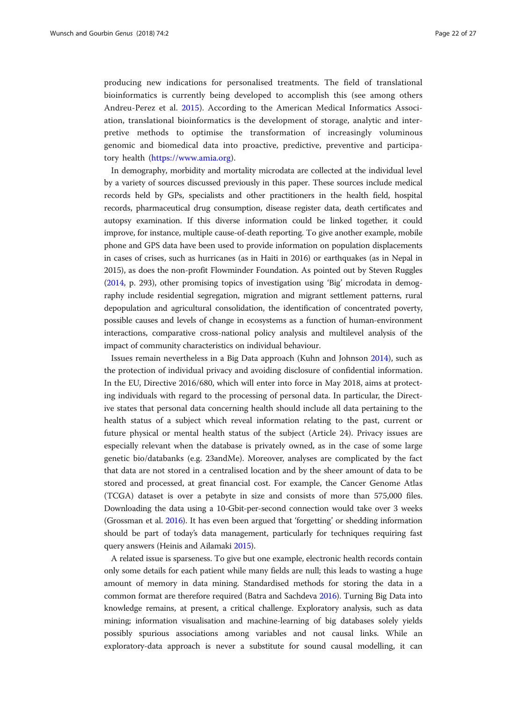producing new indications for personalised treatments. The field of translational bioinformatics is currently being developed to accomplish this (see among others Andreu-Perez et al. [2015](#page-24-0)). According to the American Medical Informatics Association, translational bioinformatics is the development of storage, analytic and interpretive methods to optimise the transformation of increasingly voluminous genomic and biomedical data into proactive, predictive, preventive and participatory health [\(https://www.amia.org\)](https://www.amia.org).

In demography, morbidity and mortality microdata are collected at the individual level by a variety of sources discussed previously in this paper. These sources include medical records held by GPs, specialists and other practitioners in the health field, hospital records, pharmaceutical drug consumption, disease register data, death certificates and autopsy examination. If this diverse information could be linked together, it could improve, for instance, multiple cause-of-death reporting. To give another example, mobile phone and GPS data have been used to provide information on population displacements in cases of crises, such as hurricanes (as in Haiti in 2016) or earthquakes (as in Nepal in 2015), as does the non-profit Flowminder Foundation. As pointed out by Steven Ruggles ([2014,](#page-26-0) p. 293), other promising topics of investigation using 'Big' microdata in demography include residential segregation, migration and migrant settlement patterns, rural depopulation and agricultural consolidation, the identification of concentrated poverty, possible causes and levels of change in ecosystems as a function of human-environment interactions, comparative cross-national policy analysis and multilevel analysis of the impact of community characteristics on individual behaviour.

Issues remain nevertheless in a Big Data approach (Kuhn and Johnson [2014\)](#page-25-0), such as the protection of individual privacy and avoiding disclosure of confidential information. In the EU, Directive 2016/680, which will enter into force in May 2018, aims at protecting individuals with regard to the processing of personal data. In particular, the Directive states that personal data concerning health should include all data pertaining to the health status of a subject which reveal information relating to the past, current or future physical or mental health status of the subject (Article 24). Privacy issues are especially relevant when the database is privately owned, as in the case of some large genetic bio/databanks (e.g. 23andMe). Moreover, analyses are complicated by the fact that data are not stored in a centralised location and by the sheer amount of data to be stored and processed, at great financial cost. For example, the Cancer Genome Atlas (TCGA) dataset is over a petabyte in size and consists of more than 575,000 files. Downloading the data using a 10-Gbit-per-second connection would take over 3 weeks (Grossman et al. [2016](#page-24-0)). It has even been argued that 'forgetting' or shedding information should be part of today's data management, particularly for techniques requiring fast query answers (Heinis and Ailamaki [2015\)](#page-24-0).

A related issue is sparseness. To give but one example, electronic health records contain only some details for each patient while many fields are null; this leads to wasting a huge amount of memory in data mining. Standardised methods for storing the data in a common format are therefore required (Batra and Sachdeva [2016\)](#page-24-0). Turning Big Data into knowledge remains, at present, a critical challenge. Exploratory analysis, such as data mining; information visualisation and machine-learning of big databases solely yields possibly spurious associations among variables and not causal links. While an exploratory-data approach is never a substitute for sound causal modelling, it can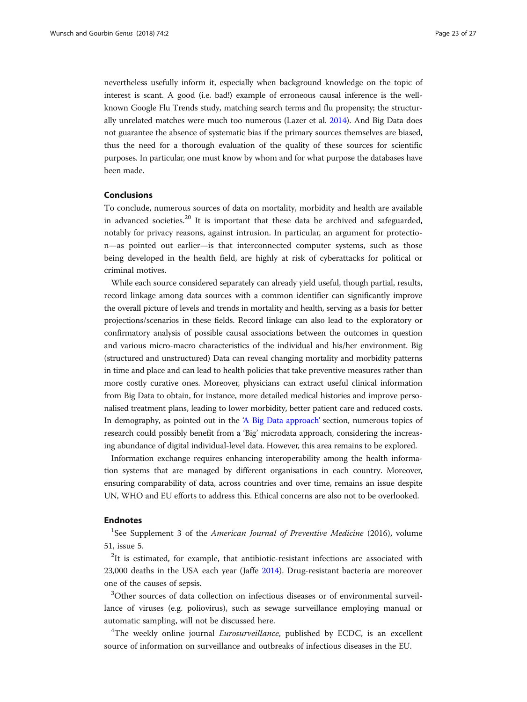<span id="page-22-0"></span>nevertheless usefully inform it, especially when background knowledge on the topic of interest is scant. A good (i.e. bad!) example of erroneous causal inference is the wellknown Google Flu Trends study, matching search terms and flu propensity; the structurally unrelated matches were much too numerous (Lazer et al. [2014\)](#page-25-0). And Big Data does not guarantee the absence of systematic bias if the primary sources themselves are biased, thus the need for a thorough evaluation of the quality of these sources for scientific purposes. In particular, one must know by whom and for what purpose the databases have been made.

#### Conclusions

To conclude, numerous sources of data on mortality, morbidity and health are available in advanced societies.<sup>20</sup> It is important that these data be archived and safeguarded, notably for privacy reasons, against intrusion. In particular, an argument for protection—as pointed out earlier—is that interconnected computer systems, such as those being developed in the health field, are highly at risk of cyberattacks for political or criminal motives.

While each source considered separately can already yield useful, though partial, results, record linkage among data sources with a common identifier can significantly improve the overall picture of levels and trends in mortality and health, serving as a basis for better projections/scenarios in these fields. Record linkage can also lead to the exploratory or confirmatory analysis of possible causal associations between the outcomes in question and various micro-macro characteristics of the individual and his/her environment. Big (structured and unstructured) Data can reveal changing mortality and morbidity patterns in time and place and can lead to health policies that take preventive measures rather than more costly curative ones. Moreover, physicians can extract useful clinical information from Big Data to obtain, for instance, more detailed medical histories and improve personalised treatment plans, leading to lower morbidity, better patient care and reduced costs. In demography, as pointed out in the '[A Big Data approach](#page-19-0)' section, numerous topics of research could possibly benefit from a 'Big' microdata approach, considering the increasing abundance of digital individual-level data. However, this area remains to be explored.

Information exchange requires enhancing interoperability among the health information systems that are managed by different organisations in each country. Moreover, ensuring comparability of data, across countries and over time, remains an issue despite UN, WHO and EU efforts to address this. Ethical concerns are also not to be overlooked.

#### Endnotes

<sup>1</sup>See Supplement 3 of the American Journal of Preventive Medicine (2016), volume 51, issue 5.

 ${}^{2}$ It is estimated, for example, that antibiotic-resistant infections are associated with 23,000 deaths in the USA each year (Jaffe [2014\)](#page-25-0). Drug-resistant bacteria are moreover one of the causes of sepsis.

<sup>3</sup>Other sources of data collection on infectious diseases or of environmental surveillance of viruses (e.g. poliovirus), such as sewage surveillance employing manual or automatic sampling, will not be discussed here.

<sup>4</sup>The weekly online journal *Eurosurveillance*, published by ECDC, is an excellent source of information on surveillance and outbreaks of infectious diseases in the EU.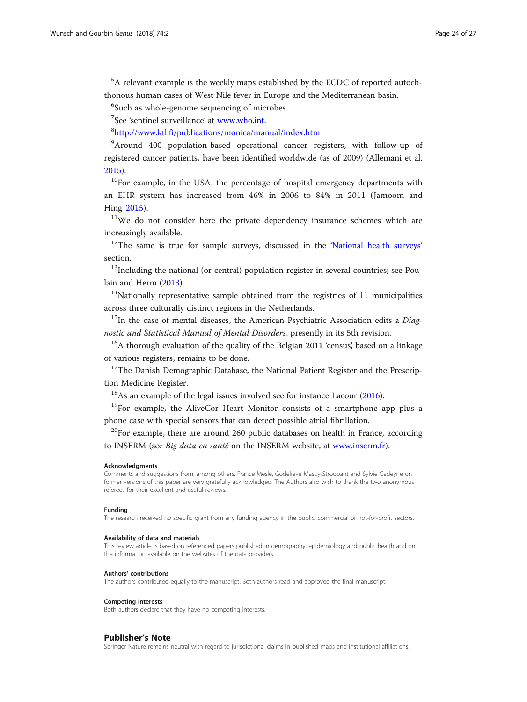<sup>5</sup>A relevant example is the weekly maps established by the ECDC of reported autochthonous human cases of West Nile fever in Europe and the Mediterranean basin.

<sup>6</sup>Such as whole-genome sequencing of microbes.

<sup>7</sup>See 'sentinel surveillance' at [www.who.int.](http://www.who.int)

8 <http://www.ktl.fi/publications/monica/manual/index.htm>

<sup>9</sup>Around 400 population-based operational cancer registers, with follow-up of registered cancer patients, have been identified worldwide (as of 2009) (Allemani et al. [2015](#page-24-0)).

 $10$ For example, in the USA, the percentage of hospital emergency departments with an EHR system has increased from 46% in 2006 to 84% in 2011 (Jamoom and Hing [2015](#page-25-0)).

<sup>11</sup>We do not consider here the private dependency insurance schemes which are increasingly available.

 $12$ The same is true for sample surveys, discussed in the '[National health surveys](#page-15-0)' section.

 $13$ Including the national (or central) population register in several countries; see Poulain and Herm [\(2013](#page-25-0)).

 $14$ Nationally representative sample obtained from the registries of 11 municipalities across three culturally distinct regions in the Netherlands.

 $15$ In the case of mental diseases, the American Psychiatric Association edits a Diagnostic and Statistical Manual of Mental Disorders, presently in its 5th revision.

<sup>16</sup>A thorough evaluation of the quality of the Belgian 2011 'census', based on a linkage of various registers, remains to be done.

 $17$ The Danish Demographic Database, the National Patient Register and the Prescription Medicine Register.

 $18$ As an example of the legal issues involved see for instance Lacour ([2016](#page-25-0)).

<sup>19</sup>For example, the AliveCor Heart Monitor consists of a smartphone app plus a phone case with special sensors that can detect possible atrial fibrillation.

 $20$ For example, there are around 260 public databases on health in France, according to INSERM (see Big data en santé on the INSERM website, at [www.inserm.fr\)](http://www.inserm.fr).

#### **Acknowledgments**

Comments and suggestions from, among others, France Meslé, Godelieve Masuy-Stroobant and Sylvie Gadeyne on former versions of this paper are very gratefully acknowledged. The Authors also wish to thank the two anonymous referees for their excellent and useful reviews.

#### Funding

The research received no specific grant from any funding agency in the public, commercial or not-for-profit sectors.

#### Availability of data and materials

This review article is based on referenced papers published in demography, epidemiology and public health and on the information available on the websites of the data providers.

#### Authors' contributions

The authors contributed equally to the manuscript. Both authors read and approved the final manuscript.

#### Competing interests

Both authors declare that they have no competing interests.

#### Publisher's Note

Springer Nature remains neutral with regard to jurisdictional claims in published maps and institutional affiliations.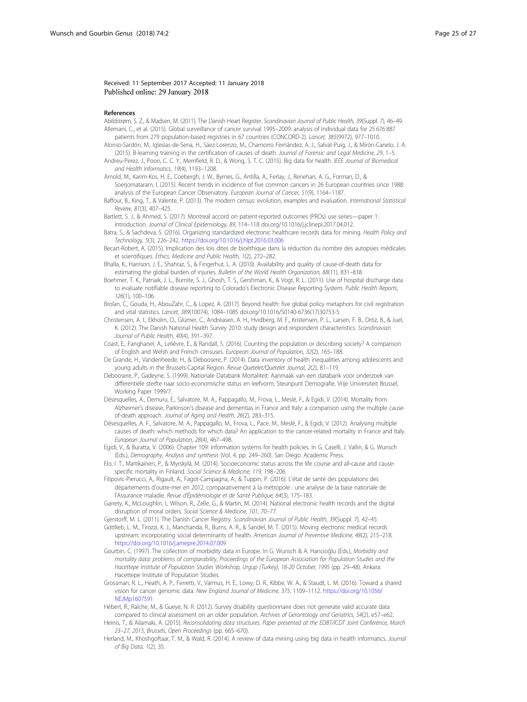#### <span id="page-24-0"></span>Received: 11 September 2017 Accepted: 11 January 2018 Published online: 29 January 2018

#### References

- Abildstrøm, S. Z., & Madsen, M. (2011). The Danish Heart Register. Scandinavian Journal of Public Health, 39(Suppl. 7), 46–49. Allemani, C., et al. (2015). Global surveillance of cancer survival 1995–2009: analysis of individual data for 25 676 887
- patients from 279 population-based registries in 67 countries (CONCORD-2). Lancet, 385(9972), 977–1010. Alonso-Sardón, M., Iglesias-de-Sena, H., Sáez-Lorenzo, M., Chamorro Fernández, A. J., Salvat-Puig, J., & Mirón-Canelo, J. A. (2015). B-learning training in the certification of causes of death. Journal of Forensic and Legal Medicine, 29, 1–5.
- Andreu-Perez, J., Poon, C. C. Y., Merrifield, R. D., & Wong, S. T. C. (2015). Big data for health. IEEE Journal of Biomedical and Health Informatics, 19(4), 1193–1208.
- Arnold, M., Karim-Kos, H. E., Coebergh, J. W., Byrnes, G., Antilla, A., Ferlay, J., Renehan, A. G., Forman, D., & Soerjomataram, I. (2015). Recent trends in incidence of five common cancers in 26 European countries since 1988: analysis of the European Cancer Observatory. European Journal of Cancer, 51(9), 1164–1187.
- Baffour, B., King, T., & Valente, P. (2013). The modern census: evolution, examples and evaluation. International Statistical Review, 81(3), 407–425.

Bartlett, S. J., & Ahmed, S. (2017). Montreal accord on patient-reported outcomes (PROs) use series—paper 1: introduction. Journal of Clinical Epidemiology, 89, 114–118 doi.org/10.1016/j.jclinepi.2017.04.012.

Batra, S., & Sachdeva, S. (2016). Organizing standardized electronic healthcare records data for mining. Health Policy and Technology, 5(3), 226–242. [https://doi.org/10.1016/j.hlpt.2016.03.006](http://dx.doi.org/10.1016/j.hlpt.2016.03.006)

Becart-Robert, A. (2015). Implication des lois dites de bioéthique dans la réduction du nombre des autopsies médicales et scientifiques. Ethics, Medicine and Public Health, 1(2), 272–282.

Bhalla, K., Harrison, J. E., Shahraz, S., & Fingerhut, L. A. (2010). Availability and quality of cause-of-death data for estimating the global burden of injuries. Bulletin of the World Health Organization, 88(11), 831–838.

- Boehmer, T. K., Patnaik, J. L., Burnite, S. J., Ghosh, T. S., Gershman, K., & Vogt, R. L. (2011). Use of hospital discharge data to evaluate notifiable disease reporting to Colorado's Electronic Disease Reporting System. Public Health Reports, 126(1), 100–106.
- Brolan, C., Gouda, H., AbouZahr, C., & Lopez, A. (2017). Beyond health: five global policy metaphors for civil registration and vital statistics. Lancet, 389(10074), 1084–1085 doi.org/10.1016/S0140-6736(17)30753-5.
- Christensen, A. I., Ekholm, O., Glümer, C., Andreasen, A. H., Hvidberg, M. F., Kristensen, P. L., Larsen, F. B., Ortiz, B., & Juel, K. (2012). The Danish National Health Survey 2010: study design and respondent characteristics. Scandinavian Journal of Public Health, 40(4), 391–397.
- Coast, E., Fanghanel, A., Lelièvre, E., & Randall, S. (2016). Counting the population or describing society? A comparison of English and Welsh and French censuses. European Journal of Population, 32(2), 165–188.
- De Grande, H., Vandenheede, H., & Deboosere, P. (2014). Data inventory of health inequalities among adolescents and young adults in the Brussels-Capital Region. Revue Quetelet/Quetelet Journal, 2(2), 81–119.
- Deboosere, P., Gadeyne, S. (1999). Nationale Databank Mortaliteit: Aanmaak van een databank voor onderzoek van differentiële sterfte naar socio-economische status en leefvorm, Steunpunt Demografie, Vrije Universiteit Brussel, Working Paper 1999/7.

Désesquelles, A., Demuru, E., Salvatore, M. A., Pappagallo, M., Frova, L., Meslé, F., & Egidi, V. (2014). Mortality from Alzheimer's disease, Parkinson's disease and dementias in France and Italy: a comparison using the multiple causeof-death approach. Journal of Aging and Health, 26(2), 283–315.

Désesquelles, A. F., Salvatore, M. A., Pappagallo, M., Frova, L., Pace, M., Meslé, F., & Egidi, V. (2012). Analysing multiple causes of death: which methods for which data? An application to the cancer-related mortality in France and Italy. European Journal of Population, 28(4), 467–498.

Egidi, V., & Buratta, V. (2006). Chapter 109: information systems for health policies. In G. Caselli, J. Vallin, & G. Wunsch (Eds.), Demography, Analysis and synthesis (Vol. 4, pp. 249–260). San Diego: Academic Press.

Elo, I. T., Martikainen, P., & Myrskylä, M. (2014). Socioeconomic status across the life course and all-cause and causespecific mortality in Finland. Social Science & Medicine, 119, 198–206.

Filipovic-Pierucci, A., Rigault, A., Fagot-Campagna, A., & Tuppin, P. (2016). L'état de santé des populations des départements d'outre-mer en 2012, comparativement à la métropole : une analyse de la base nationale de l'Assurance maladie. Revue d'Épidémiologie et de Santé Publique, 64(3), 175–183.

Garrety, K., McLoughlin, I., Wilson, R., Zelle, G., & Martin, M. (2014). National electronic health records and the digital disruption of moral orders. Social Science & Medicine, 101, 70–77.

Gjerstorff, M. L. (2011). The Danish Cancer Registry. Scandinavian Journal of Public Health, 39(Suppl. 7), 42–45.

Gottlieb, L. M., Tirozzi, K. J., Manchanda, R., Burns, A. R., & Sandel, M. T. (2015). Moving electronic medical records upstream: incorporating social determinants of health. American Journal of Preventive Medicine, 48(2), 215–218. [https://doi.org/10.1016/j.amepre.2014.07.009](http://dx.doi.org/10.1016/j.amepre.2014.07.009)

Gourbin, C. (1997). The collection of morbidity data in Europe. In G. Wunsch & A. Hancioğlu (Eds.), Morbidity and mortality data: problems of comparability, Proceedings of the European Association for Population Studies and the Hacettepe Institute of Population Studies Workshop, Urgup (Turkey), 18-20 October, 1995 (pp. 29–48). Ankara: Hacettepe Institute of Population Studies.

Grossman, R. L., Heath, A. P., Ferretti, V., Varmus, H. E., Lowy, D. R., Kibbe, W. A., & Staudt, L. M. (2016). Toward a shared vision for cancer genomic data. New England Journal of Medicine, 375, 1109–1112. [https://doi.org/10.1056/](http://dx.doi.org/10.1056/NEJMp1607591) [NEJMp1607591](http://dx.doi.org/10.1056/NEJMp1607591)

Hébert, R., Raîche, M., & Gueye, N. R. (2012). Survey disability questionnaire does not generate valid accurate data compared to clinical assessment on an older population. Archives of Gerontology and Geriatrics, 54(2), e57–e62.

Heinis, T., & Ailamaki, A. (2015). Reconsolidating data structures. Paper presented at the EDBT/ICDT Joint Conference, March 23–27, 2015, Brussels, Open Proceedings (pp. 665–670).

Herland, M., Khoshgoftaar, T. M., & Wald, R. (2014). A review of data mining using big data in health informatics. Journal of Big Data, 1(2), 35.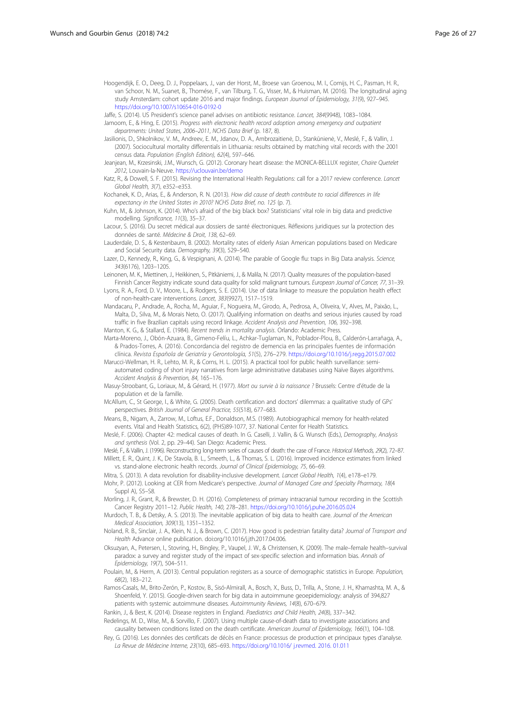- <span id="page-25-0"></span>Hoogendijk, E. O., Deeg, D. J., Poppelaars, J., van der Horst, M., Broese van Groenou, M. I., Comijs, H. C., Pasman, H. R., van Schoor, N. M., Suanet, B., Thomése, F., van Tilburg, T. G., Visser, M., & Huisman, M. (2016). The longitudinal aging study Amsterdam: cohort update 2016 and major findings. European Journal of Epidemiology, 31(9), 927–945. [https://doi.org/10.1007/s10654-016-0192-0](http://dx.doi.org/10.1007/s10654-016-0192-0)
- Jaffe, S. (2014). US President's science panel advises on antibiotic resistance. Lancet, 384(9948), 1083–1084. Jamoom, E., & Hing, E. (2015). Progress with electronic health record adoption among emergency and outpatient
- departments: United States, 2006–2011, NCHS Data Brief (p. 187, 8).
- Jasilionis, D., Shkolnikov, V. M., Andreev, E. M., Jdanov, D. A., Ambrozaitienė, D., Stankūnienė, V., Meslé, F., & Vallin, J. (2007). Sociocultural mortality differentials in Lithuania: results obtained by matching vital records with the 2001 census data. Population (English Edition), 62(4), 597–646.
- Jeanjean, M., Krzesinski, J.M., Wunsch, G. (2012). Coronary heart disease: the MONICA-BELLUX register, Chaire Quetelet 2012, Louvain-la-Neuve. <https://uclouvain.be/demo>
- Katz, R., & Dowell, S. F. (2015). Revising the International Health Regulations: call for a 2017 review conference. Lancet Global Health, 3(7), e352–e353.
- Kochanek, K. D., Arias, E., & Anderson, R. N. (2013). How did cause of death contribute to racial differences in life expectancy in the United States in 2010? NCHS Data Brief, no. 125 (p. 7).
- Kuhn, M., & Johnson, K. (2014). Who's afraid of the big black box? Statisticians' vital role in big data and predictive modelling. Significance, 11(3), 35–37.
- Lacour, S. (2016). Du secret médical aux dossiers de santé électroniques. Réflexions juridiques sur la protection des données de santé. Médecine & Droit, 138, 62–69.
- Lauderdale, D. S., & Kestenbaum, B. (2002). Mortality rates of elderly Asian American populations based on Medicare and Social Security data. Demography, 39(3), 529–540.
- Lazer, D., Kennedy, R., King, G., & Vespignani, A. (2014). The parable of Google flu: traps in Big Data analysis. Science, 343(6176), 1203–1205.
- Leinonen, M. K., Miettinen, J., Heikkinen, S., Pitkäniemi, J., & Malila, N. (2017). Quality measures of the population-based Finnish Cancer Registry indicate sound data quality for solid malignant tumours. European Journal of Cancer, 77, 31-39.
- Lyons, R. A., Ford, D. V., Moore, L., & Rodgers, S. E. (2014). Use of data linkage to measure the population health effect of non-health-care interventions. Lancet, 383(9927), 1517–1519.
- Mandacaru, P., Andrade, A., Rocha, M., Aguiar, F., Nogueira, M., Girodo, A., Pedrosa, A., Oliveira, V., Alves, M., Paixão, L., Malta, D., Silva, M., & Morais Neto, O. (2017). Qualifying information on deaths and serious injuries caused by road traffic in five Brazilian capitals using record linkage. Accident Analysis and Prevention, 106, 392–398.
- Manton, K. G., & Stallard, E. (1984). Recent trends in mortality analysis. Orlando: Academic Press.
- Marta-Moreno, J., Obón-Azuara, B., Gimeno-Felíu, L., Achkar-Tuglaman, N., Poblador-Plou, B., Calderón-Larrañaga, A., & Prados-Torres, A. (2016). Concordancia del registro de demencia en las principales fuentes de información clínica. Revista Española de Geriatría y Gerontología, 51(5), 276–279. [https://doi.org/10.1016/j.regg.2015.07.002](http://dx.doi.org/10.1016/j.regg.2015.07.002)
- Marucci-Wellman, H. R., Lehto, M. R., & Corns, H. L. (2015). A practical tool for public health surveillance: semi-
- automated coding of short injury narratives from large administrative databases using Naïve Bayes algorithms. Accident Analysis & Prevention, 84, 165–176.
- Masuy-Stroobant, G., Loriaux, M., & Gérard, H. (1977). Mort ou survie à la naissance ? Brussels: Centre d'étude de la population et de la famille.
- McAllum, C., St George, I., & White, G. (2005). Death certification and doctors' dilemmas: a qualitative study of GPs' perspectives. British Journal of General Practice, 55(518), 677–683.
- Means, B., Nigam, A., Zarrow, M., Loftus, E.F., Donaldson, M.S. (1989). Autobiographical memory for health-related events. Vital and Health Statistics, 6(2), (PHS)89-1077, 37. National Center for Health Statistics.
- Meslé, F. (2006). Chapter 42: medical causes of death. In G. Caselli, J. Vallin, & G. Wunsch (Eds.), Demography, Analysis and synthesis (Vol. 2, pp. 29–44). San Diego: Academic Press.
- Meslé, F., & Vallin, J. (1996). Reconstructing long-term series of causes of death: the case of France. Historical Methods, 29(2), 72–87. Millett, E. R., Quint, J. K., De Stavola, B. L., Smeeth, L., & Thomas, S. L. (2016). Improved incidence estimates from linked
- vs. stand-alone electronic health records. Journal of Clinical Epidemiology, 75, 66–69.
- Mitra, S. (2013). A data revolution for disability-inclusive development. Lancet Global Health, 1(4), e178–e179. Mohr, P. (2012). Looking at CER from Medicare's perspective. Journal of Managed Care and Specialty Pharmacy, 18(4 Suppl A), S5–S8.
- Morling, J. R., Grant, R., & Brewster, D. H. (2016). Completeness of primary intracranial tumour recording in the Scottish Cancer Registry 2011–12. Public Health, 140, 278–281. [https://doi.org/10.1016/j.puhe.2016.05.024](http://dx.doi.org/10.1016/j.puhe.2016.05.024)
- Murdoch, T. B., & Detsky, A. S. (2013). The inevitable application of big data to health care. Journal of the American Medical Association, 309(13), 1351–1352.
- Noland, R. B., Sinclair, J. A., Klein, N. J., & Brown, C. (2017). How good is pedestrian fatality data? Journal of Transport and Health Advance online publication. doi:org/10.1016/j.jth.2017.04.006.
- Oksuzyan, A., Petersen, I., Stovring, H., Bingley, P., Vaupel, J. W., & Christensen, K. (2009). The male–female health–survival paradox: a survey and register study of the impact of sex-specific selection and information bias. Annals of Epidemiology, 19(7), 504–511.
- Poulain, M., & Herm, A. (2013). Central population registers as a source of demographic statistics in Europe. Population, 68(2), 183–212.
- Ramos-Casals, M., Brito-Zerón, P., Kostov, B., Sisó-Almirall, A., Bosch, X., Buss, D., Trilla, A., Stone, J. H., Khamashta, M. A., & Shoenfeld, Y. (2015). Google-driven search for big data in autoimmune geoepidemiology: analysis of 394,827 patients with systemic autoimmune diseases. Autoimmunity Reviews, 14(8), 670–679.
- Rankin, J., & Best, K. (2014). Disease registers in England. Paediatrics and Child Health, 24(8), 337–342.
- Redelings, M. D., Wise, M., & Sorvillo, F. (2007). Using multiple cause-of-death data to investigate associations and causality between conditions listed on the death certificate. American Journal of Epidemiology, 166(1), 104–108.
- Rey, G. (2016). Les données des certificats de décès en France: processus de production et principaux types d'analyse. La Revue de Médecine Interne, 23(10), 685–693. [https://doi.org/10.1016/ j.revmed. 2016. 01.011](http://dx.doi.org/10.1016/ j.revmed. 2016. 01.011)